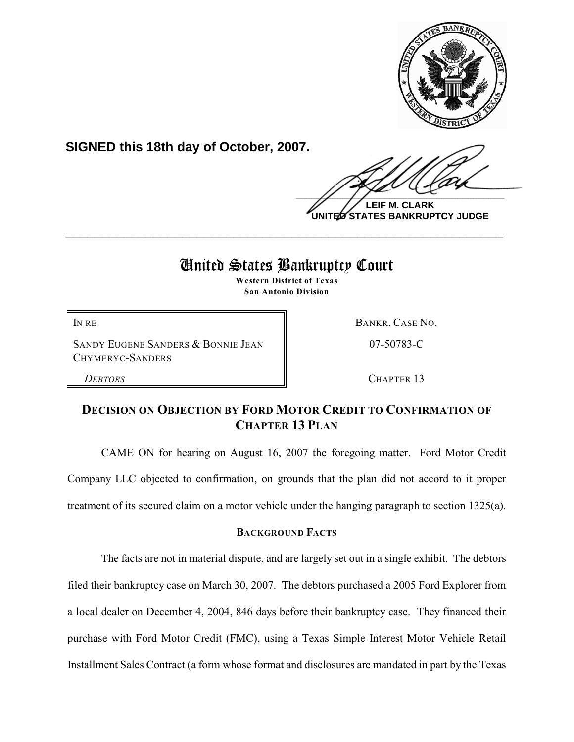

**SIGNED this 18th day of October, 2007.**

 $\frac{1}{2}$ 

**LEIF M. CLARK UNITED STATES BANKRUPTCY JUDGE**

# United States Bankruptcy Court

**\_\_\_\_\_\_\_\_\_\_\_\_\_\_\_\_\_\_\_\_\_\_\_\_\_\_\_\_\_\_\_\_\_\_\_\_\_\_\_\_\_\_\_\_\_\_\_\_\_\_\_\_\_\_\_\_\_\_\_\_**

**Western District of Texas San Antonio Division**

SANDY EUGENE SANDERS & BONNIE JEAN CHYMERYC-SANDERS

IN RE BANKR. CASE NO.

07-50783-C

*DEBTORS* CHAPTER 13

## **DECISION ON OBJECTION BY FORD MOTOR CREDIT TO CONFIRMATION OF CHAPTER 13 PLAN**

CAME ON for hearing on August 16, 2007 the foregoing matter. Ford Motor Credit Company LLC objected to confirmation, on grounds that the plan did not accord to it proper treatment of its secured claim on a motor vehicle under the hanging paragraph to section 1325(a).

## **BACKGROUND FACTS**

The facts are not in material dispute, and are largely set out in a single exhibit. The debtors filed their bankruptcy case on March 30, 2007. The debtors purchased a 2005 Ford Explorer from a local dealer on December 4, 2004, 846 days before their bankruptcy case. They financed their purchase with Ford Motor Credit (FMC), using a Texas Simple Interest Motor Vehicle Retail Installment Sales Contract (a form whose format and disclosures are mandated in part by the Texas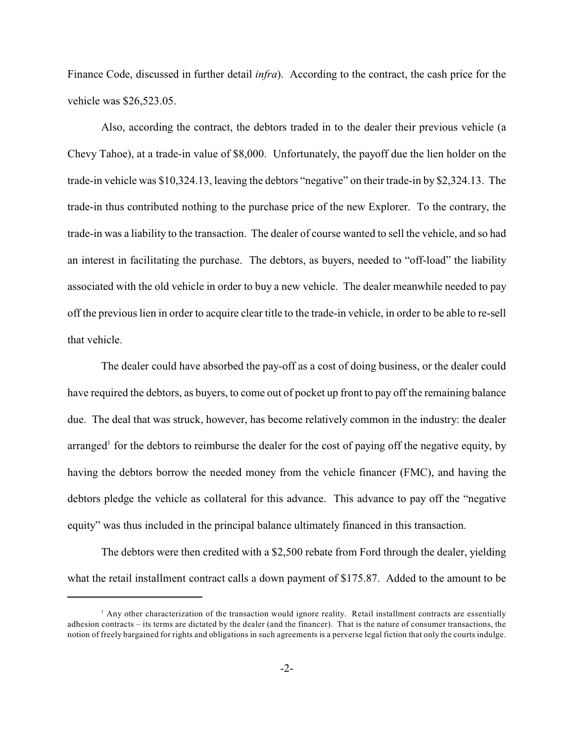Finance Code, discussed in further detail *infra*). According to the contract, the cash price for the vehicle was \$26,523.05.

Also, according the contract, the debtors traded in to the dealer their previous vehicle (a Chevy Tahoe), at a trade-in value of \$8,000. Unfortunately, the payoff due the lien holder on the trade-in vehicle was \$10,324.13, leaving the debtors "negative" on their trade-in by \$2,324.13. The trade-in thus contributed nothing to the purchase price of the new Explorer. To the contrary, the trade-in was a liability to the transaction. The dealer of course wanted to sell the vehicle, and so had an interest in facilitating the purchase. The debtors, as buyers, needed to "off-load" the liability associated with the old vehicle in order to buy a new vehicle. The dealer meanwhile needed to pay off the previous lien in order to acquire clear title to the trade-in vehicle, in order to be able to re-sell that vehicle.

The dealer could have absorbed the pay-off as a cost of doing business, or the dealer could have required the debtors, as buyers, to come out of pocket up front to pay off the remaining balance due. The deal that was struck, however, has become relatively common in the industry: the dealer arranged<sup>1</sup> for the debtors to reimburse the dealer for the cost of paying off the negative equity, by having the debtors borrow the needed money from the vehicle financer (FMC), and having the debtors pledge the vehicle as collateral for this advance. This advance to pay off the "negative equity" was thus included in the principal balance ultimately financed in this transaction.

The debtors were then credited with a \$2,500 rebate from Ford through the dealer, yielding what the retail installment contract calls a down payment of \$175.87. Added to the amount to be

 $\mu$  Any other characterization of the transaction would ignore reality. Retail installment contracts are essentially adhesion contracts – its terms are dictated by the dealer (and the financer). That is the nature of consumer transactions, the notion of freely bargained for rights and obligations in such agreements is a perverse legal fiction that only the courts indulge.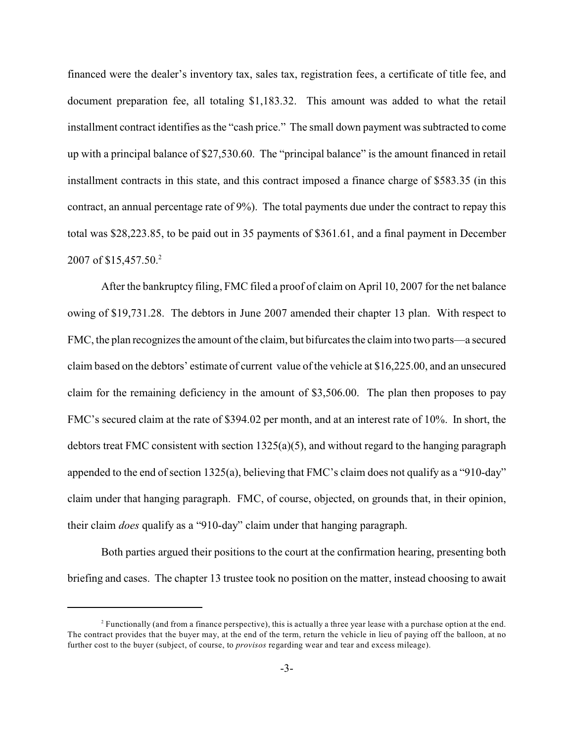financed were the dealer's inventory tax, sales tax, registration fees, a certificate of title fee, and document preparation fee, all totaling \$1,183.32. This amount was added to what the retail installment contract identifies as the "cash price." The small down payment was subtracted to come up with a principal balance of \$27,530.60. The "principal balance" is the amount financed in retail installment contracts in this state, and this contract imposed a finance charge of \$583.35 (in this contract, an annual percentage rate of 9%). The total payments due under the contract to repay this total was \$28,223.85, to be paid out in 35 payments of \$361.61, and a final payment in December 2007 of \$15,457.50.<sup>2</sup>

After the bankruptcy filing, FMC filed a proof of claim on April 10, 2007 for the net balance owing of \$19,731.28. The debtors in June 2007 amended their chapter 13 plan. With respect to FMC, the plan recognizes the amount of the claim, but bifurcates the claim into two parts—a secured claim based on the debtors' estimate of current value of the vehicle at \$16,225.00, and an unsecured claim for the remaining deficiency in the amount of \$3,506.00. The plan then proposes to pay FMC's secured claim at the rate of \$394.02 per month, and at an interest rate of 10%. In short, the debtors treat FMC consistent with section  $1325(a)(5)$ , and without regard to the hanging paragraph appended to the end of section 1325(a), believing that FMC's claim does not qualify as a "910-day" claim under that hanging paragraph. FMC, of course, objected, on grounds that, in their opinion, their claim *does* qualify as a "910-day" claim under that hanging paragraph.

Both parties argued their positions to the court at the confirmation hearing, presenting both briefing and cases. The chapter 13 trustee took no position on the matter, instead choosing to await

 $<sup>2</sup>$  Functionally (and from a finance perspective), this is actually a three year lease with a purchase option at the end.</sup> The contract provides that the buyer may, at the end of the term, return the vehicle in lieu of paying off the balloon, at no further cost to the buyer (subject, of course, to *provisos* regarding wear and tear and excess mileage).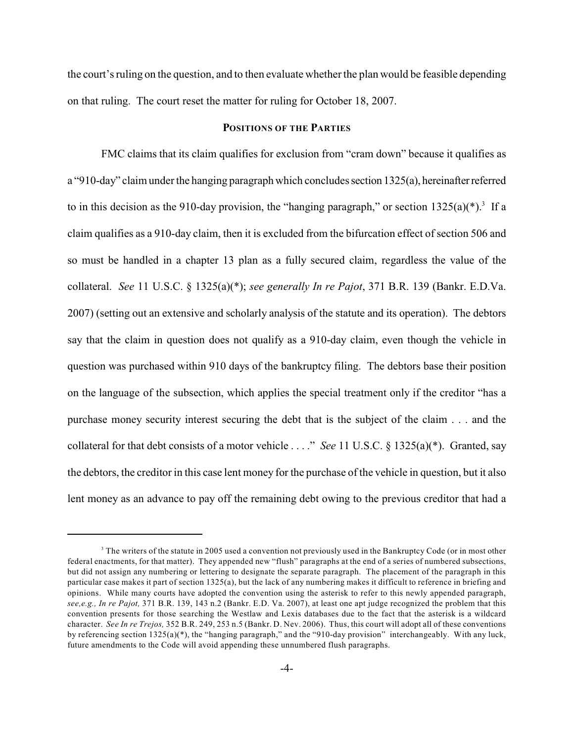the court's ruling on the question, and to then evaluate whether the plan would be feasible depending on that ruling. The court reset the matter for ruling for October 18, 2007.

#### **POSITIONS OF THE PARTIES**

FMC claims that its claim qualifies for exclusion from "cram down" because it qualifies as a "910-day" claim under the hanging paragraph which concludes section 1325(a), hereinafter referred to in this decision as the 910-day provision, the "hanging paragraph," or section  $1325(a)(*)$ .<sup>3</sup> If a claim qualifies as a 910-day claim, then it is excluded from the bifurcation effect of section 506 and so must be handled in a chapter 13 plan as a fully secured claim, regardless the value of the collateral. *See* 11 U.S.C. § 1325(a)(\*); *see generally In re Pajot*, 371 B.R. 139 (Bankr. E.D.Va. 2007) (setting out an extensive and scholarly analysis of the statute and its operation). The debtors say that the claim in question does not qualify as a 910-day claim, even though the vehicle in question was purchased within 910 days of the bankruptcy filing. The debtors base their position on the language of the subsection, which applies the special treatment only if the creditor "has a purchase money security interest securing the debt that is the subject of the claim . . . and the collateral for that debt consists of a motor vehicle . . . ." *See* 11 U.S.C. § 1325(a)(\*). Granted, say the debtors, the creditor in this case lent money for the purchase of the vehicle in question, but it also lent money as an advance to pay off the remaining debt owing to the previous creditor that had a

<sup>&</sup>lt;sup>3</sup> The writers of the statute in 2005 used a convention not previously used in the Bankruptcy Code (or in most other federal enactments, for that matter). They appended new "flush" paragraphs at the end of a series of numbered subsections, but did not assign any numbering or lettering to designate the separate paragraph. The placement of the paragraph in this particular case makes it part of section 1325(a), but the lack of any numbering makes it difficult to reference in briefing and opinions. While many courts have adopted the convention using the asterisk to refer to this newly appended paragraph, *see,e.g., In re Pajot,* 371 B.R. 139, 143 n.2 (Bankr. E.D. Va. 2007), at least one apt judge recognized the problem that this convention presents for those searching the Westlaw and Lexis databases due to the fact that the asterisk is a wildcard character. *See In re Trejos,* 352 B.R. 249, 253 n.5 (Bankr. D. Nev. 2006). Thus, this court will adopt all of these conventions by referencing section 1325(a)(\*), the "hanging paragraph," and the "910-day provision" interchangeably. With any luck, future amendments to the Code will avoid appending these unnumbered flush paragraphs.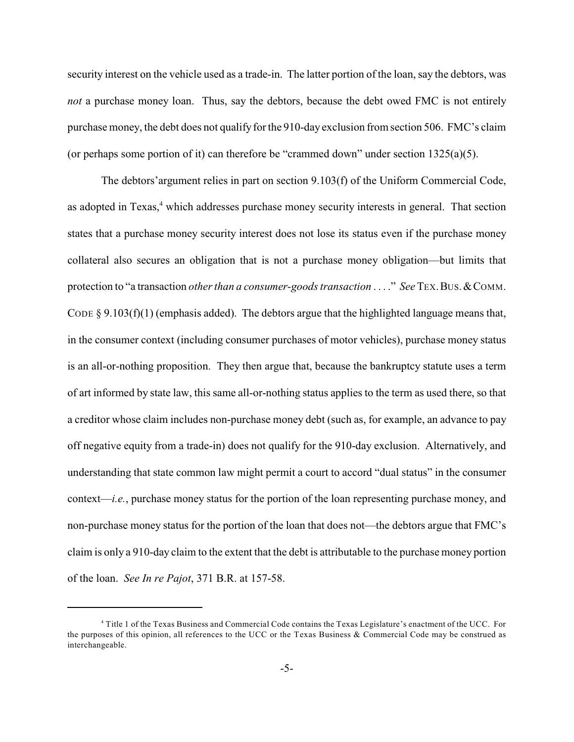security interest on the vehicle used as a trade-in. The latter portion of the loan, say the debtors, was *not* a purchase money loan. Thus, say the debtors, because the debt owed FMC is not entirely purchase money, the debt does not qualify for the 910-day exclusion from section 506. FMC's claim (or perhaps some portion of it) can therefore be "crammed down" under section 1325(a)(5).

The debtors'argument relies in part on section 9.103(f) of the Uniform Commercial Code, as adopted in Texas,<sup>4</sup> which addresses purchase money security interests in general. That section states that a purchase money security interest does not lose its status even if the purchase money collateral also secures an obligation that is not a purchase money obligation—but limits that protection to "a transaction *other than a consumer-goods transaction* . . . ." *See* TEX.BUS.&COMM. CODE  $\S 9.103(f)(1)$  (emphasis added). The debtors argue that the highlighted language means that, in the consumer context (including consumer purchases of motor vehicles), purchase money status is an all-or-nothing proposition. They then argue that, because the bankruptcy statute uses a term of art informed by state law, this same all-or-nothing status applies to the term as used there, so that a creditor whose claim includes non-purchase money debt (such as, for example, an advance to pay off negative equity from a trade-in) does not qualify for the 910-day exclusion. Alternatively, and understanding that state common law might permit a court to accord "dual status" in the consumer context—*i.e.*, purchase money status for the portion of the loan representing purchase money, and non-purchase money status for the portion of the loan that does not—the debtors argue that FMC's claim is only a 910-day claim to the extent that the debt is attributable to the purchase money portion of the loan. *See In re Pajot*, 371 B.R. at 157-58.

Title 1 of the Texas Business and Commercial Code contains the Texas Legislature's enactment of the UCC. For <sup>4</sup> the purposes of this opinion, all references to the UCC or the Texas Business & Commercial Code may be construed as interchangeable.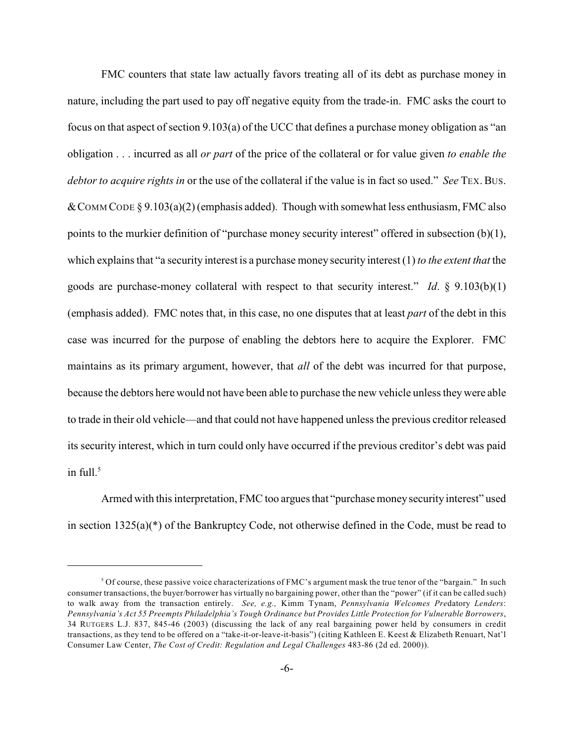FMC counters that state law actually favors treating all of its debt as purchase money in nature, including the part used to pay off negative equity from the trade-in. FMC asks the court to focus on that aspect of section 9.103(a) of the UCC that defines a purchase money obligation as "an obligation . . . incurred as all *or part* of the price of the collateral or for value given *to enable the debtor to acquire rights in* or the use of the collateral if the value is in fact so used." *See* TEX. Bus. & COMM CODE § 9.103(a)(2) (emphasis added). Though with somewhat less enthusiasm, FMC also points to the murkier definition of "purchase money security interest" offered in subsection (b)(1), which explains that "a security interest is a purchase money security interest (1) *to the extent that* the goods are purchase-money collateral with respect to that security interest." *Id*. § 9.103(b)(1) (emphasis added). FMC notes that, in this case, no one disputes that at least *part* of the debt in this case was incurred for the purpose of enabling the debtors here to acquire the Explorer. FMC maintains as its primary argument, however, that *all* of the debt was incurred for that purpose, because the debtors here would not have been able to purchase the new vehicle unless they were able to trade in their old vehicle—and that could not have happened unless the previous creditor released its security interest, which in turn could only have occurred if the previous creditor's debt was paid in full. $5$ 

Armed with this interpretation, FMC too argues that "purchase moneysecurity interest" used in section 1325(a)(\*) of the Bankruptcy Code, not otherwise defined in the Code, must be read to

<sup>&</sup>lt;sup>5</sup> Of course, these passive voice characterizations of FMC's argument mask the true tenor of the "bargain." In such consumer transactions, the buyer/borrower has virtually no bargaining power, other than the "power" (if it can be called such) to walk away from the transaction entirely. *See, e.g.,* Kimm Tynam, *Pennsylvania Welcomes Pre*datory *Lenders*: *Pennsylvania's Act 55 Preempts Philadelphia's Tough Ordinance but Provides Little Protection for Vulnerable Borrowers*, 34 RUTGERS L.J. 837, 845-46 (2003) (discussing the lack of any real bargaining power held by consumers in credit transactions, as they tend to be offered on a "take-it-or-leave-it-basis") (citing Kathleen E. Keest & Elizabeth Renuart, Nat'l Consumer Law Center, *The Cost of Credit: Regulation and Legal Challenges* 483-86 (2d ed. 2000)).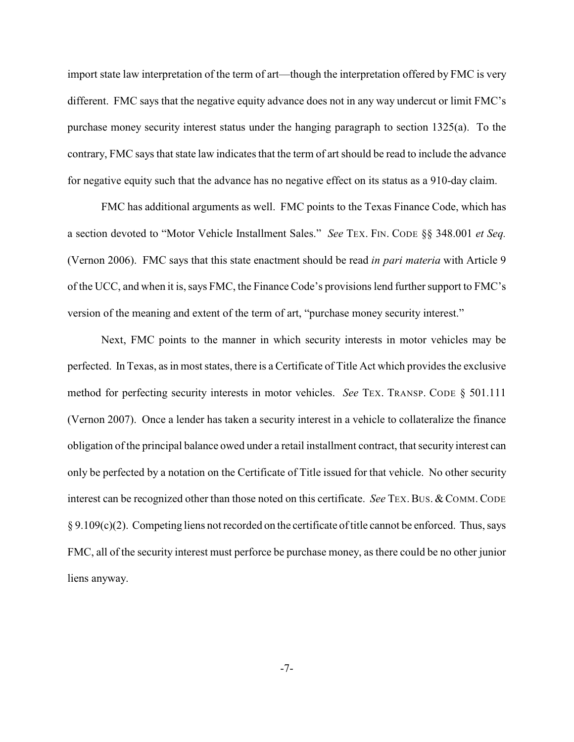import state law interpretation of the term of art—though the interpretation offered by FMC is very different. FMC says that the negative equity advance does not in any way undercut or limit FMC's purchase money security interest status under the hanging paragraph to section 1325(a). To the contrary, FMC says that state law indicates that the term of art should be read to include the advance for negative equity such that the advance has no negative effect on its status as a 910-day claim.

FMC has additional arguments as well. FMC points to the Texas Finance Code, which has a section devoted to "Motor Vehicle Installment Sales." *See* TEX. FIN. CODE §§ 348.001 *et Seq.* (Vernon 2006). FMC says that this state enactment should be read *in pari materia* with Article 9 of the UCC, and when it is, says FMC, the Finance Code's provisions lend furthersupport to FMC's version of the meaning and extent of the term of art, "purchase money security interest."

Next, FMC points to the manner in which security interests in motor vehicles may be perfected. In Texas, as in most states, there is a Certificate of Title Act which provides the exclusive method for perfecting security interests in motor vehicles. *See* TEX. TRANSP. CODE § 501.111 (Vernon 2007). Once a lender has taken a security interest in a vehicle to collateralize the finance obligation of the principal balance owed under a retail installment contract, that security interest can only be perfected by a notation on the Certificate of Title issued for that vehicle. No other security interest can be recognized other than those noted on this certificate. *See* TEX. BUS. & COMM. CODE  $§ 9.109(c)(2)$ . Competing liens not recorded on the certificate of title cannot be enforced. Thus, says FMC, all of the security interest must perforce be purchase money, as there could be no other junior liens anyway.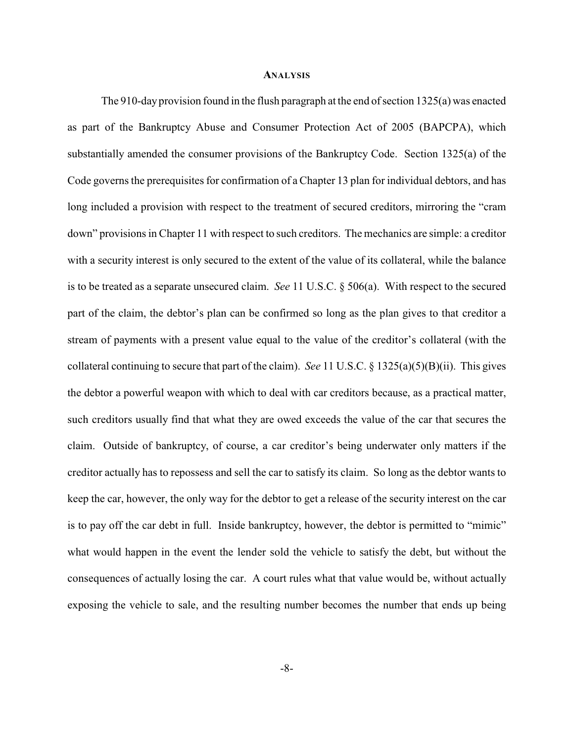#### **ANALYSIS**

The 910-day provision found in the flush paragraph at the end of section 1325(a) was enacted as part of the Bankruptcy Abuse and Consumer Protection Act of 2005 (BAPCPA), which substantially amended the consumer provisions of the Bankruptcy Code. Section 1325(a) of the Code governs the prerequisites for confirmation of a Chapter 13 plan for individual debtors, and has long included a provision with respect to the treatment of secured creditors, mirroring the "cram down" provisions in Chapter 11 with respect to such creditors. The mechanics are simple: a creditor with a security interest is only secured to the extent of the value of its collateral, while the balance is to be treated as a separate unsecured claim. *See* 11 U.S.C. § 506(a). With respect to the secured part of the claim, the debtor's plan can be confirmed so long as the plan gives to that creditor a stream of payments with a present value equal to the value of the creditor's collateral (with the collateral continuing to secure that part of the claim). *See* 11 U.S.C. § 1325(a)(5)(B)(ii). This gives the debtor a powerful weapon with which to deal with car creditors because, as a practical matter, such creditors usually find that what they are owed exceeds the value of the car that secures the claim. Outside of bankruptcy, of course, a car creditor's being underwater only matters if the creditor actually has to repossess and sell the car to satisfy its claim. So long as the debtor wants to keep the car, however, the only way for the debtor to get a release of the security interest on the car is to pay off the car debt in full. Inside bankruptcy, however, the debtor is permitted to "mimic" what would happen in the event the lender sold the vehicle to satisfy the debt, but without the consequences of actually losing the car. A court rules what that value would be, without actually exposing the vehicle to sale, and the resulting number becomes the number that ends up being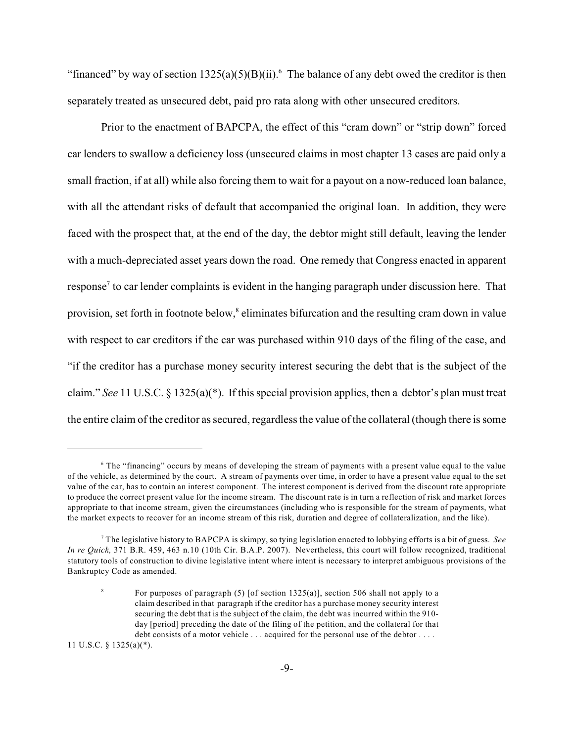"financed" by way of section  $1325(a)(5)(B)(ii)$ . The balance of any debt owed the creditor is then separately treated as unsecured debt, paid pro rata along with other unsecured creditors.

Prior to the enactment of BAPCPA, the effect of this "cram down" or "strip down" forced car lenders to swallow a deficiency loss (unsecured claims in most chapter 13 cases are paid only a small fraction, if at all) while also forcing them to wait for a payout on a now-reduced loan balance, with all the attendant risks of default that accompanied the original loan. In addition, they were faced with the prospect that, at the end of the day, the debtor might still default, leaving the lender with a much-depreciated asset years down the road. One remedy that Congress enacted in apparent response<sup>7</sup> to car lender complaints is evident in the hanging paragraph under discussion here. That provision, set forth in footnote below,<sup>8</sup> eliminates bifurcation and the resulting cram down in value with respect to car creditors if the car was purchased within 910 days of the filing of the case, and "if the creditor has a purchase money security interest securing the debt that is the subject of the claim." *See* 11 U.S.C. § 1325(a)(\*). If this special provision applies, then a debtor's plan must treat the entire claim of the creditor as secured, regardless the value of the collateral (though there is some

11 U.S.C. § 1325(a)(\*).

<sup>&</sup>lt;sup>6</sup> The "financing" occurs by means of developing the stream of payments with a present value equal to the value of the vehicle, as determined by the court. A stream of payments over time, in order to have a present value equal to the set value of the car, has to contain an interest component. The interest component is derived from the discount rate appropriate to produce the correct present value for the income stream. The discount rate is in turn a reflection of risk and market forces appropriate to that income stream, given the circumstances (including who is responsible for the stream of payments, what the market expects to recover for an income stream of this risk, duration and degree of collateralization, and the like).

The legislative history to BAPCPA is skimpy, so tying legislation enacted to lobbying efforts is a bit of guess. *See* <sup>7</sup> *In re Quick,* 371 B.R. 459, 463 n.10 (10th Cir. B.A.P. 2007). Nevertheless, this court will follow recognized, traditional statutory tools of construction to divine legislative intent where intent is necessary to interpret ambiguous provisions of the Bankruptcy Code as amended.

For purposes of paragraph  $(5)$  [of section 1325(a)], section 506 shall not apply to a claim described in that paragraph if the creditor has a purchase money security interest securing the debt that is the subject of the claim, the debt was incurred within the 910 day [period] preceding the date of the filing of the petition, and the collateral for that debt consists of a motor vehicle . . . acquired for the personal use of the debtor . . . .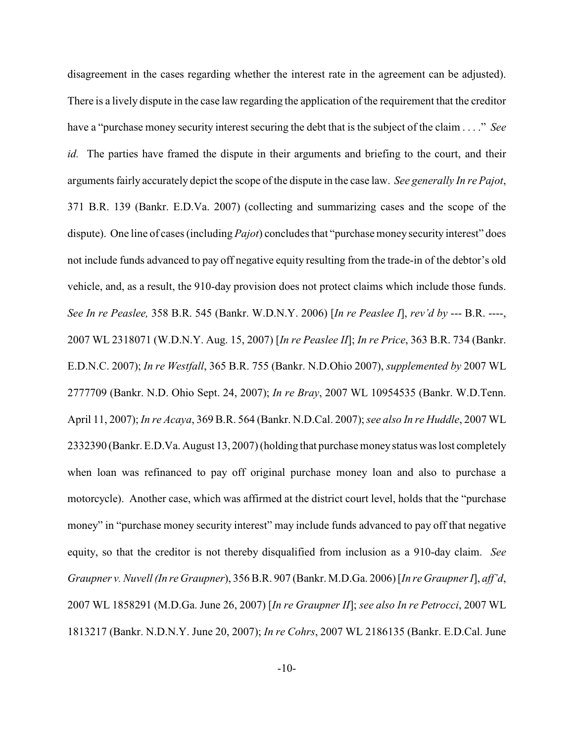disagreement in the cases regarding whether the interest rate in the agreement can be adjusted). There is a lively dispute in the case law regarding the application of the requirement that the creditor have a "purchase money security interest securing the debt that is the subject of the claim . . . ." *See id.* The parties have framed the dispute in their arguments and briefing to the court, and their arguments fairly accurately depict the scope of the dispute in the case law. *See generally In re Pajot*, 371 B.R. 139 (Bankr. E.D.Va. 2007) (collecting and summarizing cases and the scope of the dispute). One line of cases (including *Pajot*) concludes that "purchase money security interest" does not include funds advanced to pay off negative equity resulting from the trade-in of the debtor's old vehicle, and, as a result, the 910-day provision does not protect claims which include those funds. *See In re Peaslee,* 358 B.R. 545 (Bankr. W.D.N.Y. 2006) [*In re Peaslee I*], *rev'd by* --- B.R. ----, 2007 WL 2318071 (W.D.N.Y. Aug. 15, 2007) [*In re Peaslee II*]; *In re Price*, 363 B.R. 734 (Bankr. E.D.N.C. 2007); *In re Westfall*, 365 B.R. 755 (Bankr. N.D.Ohio 2007), *supplemented by* 2007 WL 2777709 (Bankr. N.D. Ohio Sept. 24, 2007); *In re Bray*, 2007 WL 10954535 (Bankr. W.D.Tenn. April 11, 2007); *In re Acaya*, 369 B.R. 564 (Bankr. N.D.Cal. 2007); *see also In re Huddle*, 2007 WL 2332390 (Bankr. E.D.Va. August 13, 2007)(holding that purchasemoney status was lost completely when loan was refinanced to pay off original purchase money loan and also to purchase a motorcycle). Another case, which was affirmed at the district court level, holds that the "purchase money" in "purchase money security interest" may include funds advanced to pay off that negative equity, so that the creditor is not thereby disqualified from inclusion as a 910-day claim. *See Graupner v. Nuvell (In re Graupner*), 356 B.R. 907 (Bankr. M.D.Ga. 2006) [*In re Graupner I*], *aff'd*, 2007 WL 1858291 (M.D.Ga. June 26, 2007) [*In re Graupner II*]; *see also In re Petrocci*, 2007 WL 1813217 (Bankr. N.D.N.Y. June 20, 2007); *In re Cohrs*, 2007 WL 2186135 (Bankr. E.D.Cal. June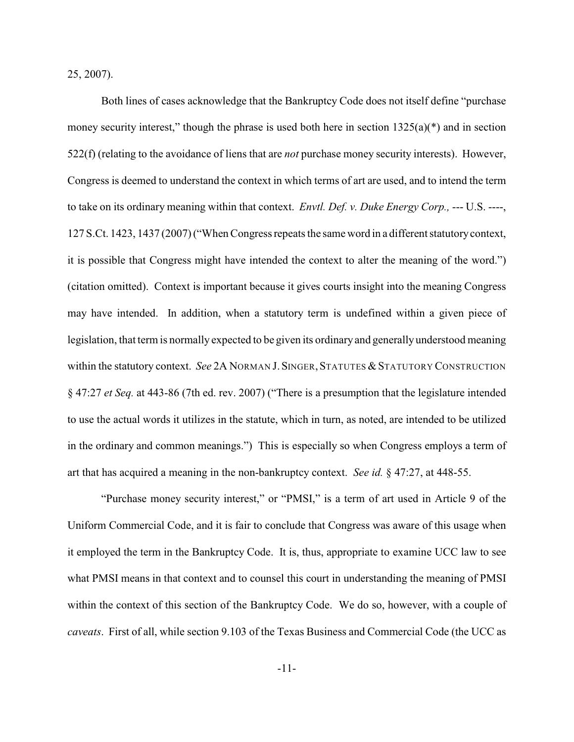25, 2007).

Both lines of cases acknowledge that the Bankruptcy Code does not itself define "purchase money security interest," though the phrase is used both here in section  $1325(a)$ (\*) and in section 522(f) (relating to the avoidance of liens that are *not* purchase money security interests). However, Congress is deemed to understand the context in which terms of art are used, and to intend the term to take on its ordinary meaning within that context. *Envtl. Def. v. Duke Energy Corp.,* --- U.S. ----, 127 S.Ct. 1423, 1437 (2007) ("When Congress repeats the same word in a different statutory context, it is possible that Congress might have intended the context to alter the meaning of the word.") (citation omitted). Context is important because it gives courts insight into the meaning Congress may have intended. In addition, when a statutory term is undefined within a given piece of legislation, that term is normally expected to be given its ordinary and generallyunderstood meaning within the statutory context. *See 2A NORMAN J. SINGER, STATUTES & STATUTORY CONSTRUCTION* § 47:27 *et Seq.* at 443-86 (7th ed. rev. 2007) ("There is a presumption that the legislature intended to use the actual words it utilizes in the statute, which in turn, as noted, are intended to be utilized in the ordinary and common meanings.") This is especially so when Congress employs a term of art that has acquired a meaning in the non-bankruptcy context. *See id.* § 47:27, at 448-55.

"Purchase money security interest," or "PMSI," is a term of art used in Article 9 of the Uniform Commercial Code, and it is fair to conclude that Congress was aware of this usage when it employed the term in the Bankruptcy Code. It is, thus, appropriate to examine UCC law to see what PMSI means in that context and to counsel this court in understanding the meaning of PMSI within the context of this section of the Bankruptcy Code. We do so, however, with a couple of *caveats*. First of all, while section 9.103 of the Texas Business and Commercial Code (the UCC as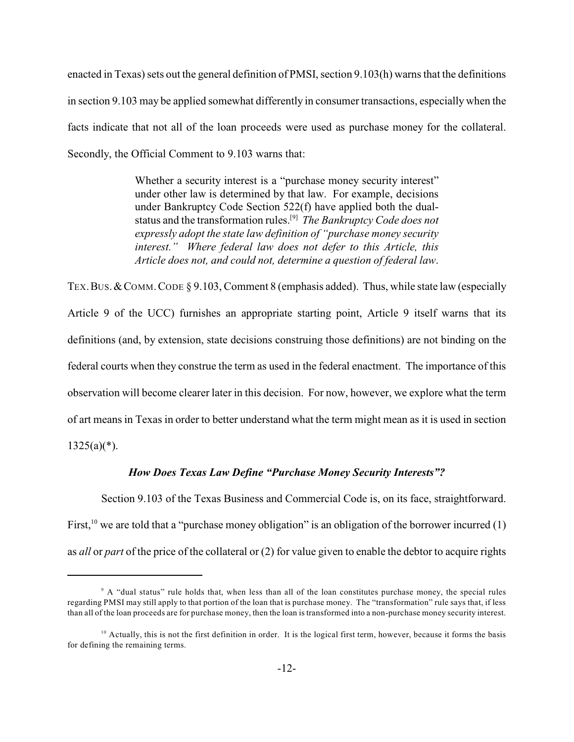enacted in Texas) sets out the general definition of PMSI, section 9.103(h) warns that the definitions in section 9.103 may be applied somewhat differently in consumer transactions, especially when the facts indicate that not all of the loan proceeds were used as purchase money for the collateral. Secondly, the Official Comment to 9.103 warns that:

> Whether a security interest is a "purchase money security interest" under other law is determined by that law. For example, decisions under Bankruptcy Code Section 522(f) have applied both the dualstatus and the transformation rules.<sup>[9]</sup> The Bankruptcy Code does not *expressly adopt the state law definition of "purchase money security interest." Where federal law does not defer to this Article, this Article does not, and could not, determine a question of federal law*.

TEX. BUS. & COMM. CODE § 9.103, Comment 8 (emphasis added). Thus, while state law (especially Article 9 of the UCC) furnishes an appropriate starting point, Article 9 itself warns that its definitions (and, by extension, state decisions construing those definitions) are not binding on the federal courts when they construe the term as used in the federal enactment. The importance of this observation will become clearer later in this decision. For now, however, we explore what the term of art means in Texas in order to better understand what the term might mean as it is used in section  $1325(a)(*)$ .

#### *How Does Texas Law Define "Purchase Money Security Interests"?*

Section 9.103 of the Texas Business and Commercial Code is, on its face, straightforward. First, <sup>10</sup> we are told that a "purchase money obligation" is an obligation of the borrower incurred (1) as *all* or *part* of the price of the collateral or (2) for value given to enable the debtor to acquire rights

<sup>&</sup>lt;sup>9</sup> A "dual status" rule holds that, when less than all of the loan constitutes purchase money, the special rules regarding PMSI may still apply to that portion of the loan that is purchase money. The "transformation" rule says that, if less than all of the loan proceeds are for purchase money, then the loan is transformed into a non-purchase money security interest.

 $10$  Actually, this is not the first definition in order. It is the logical first term, however, because it forms the basis for defining the remaining terms.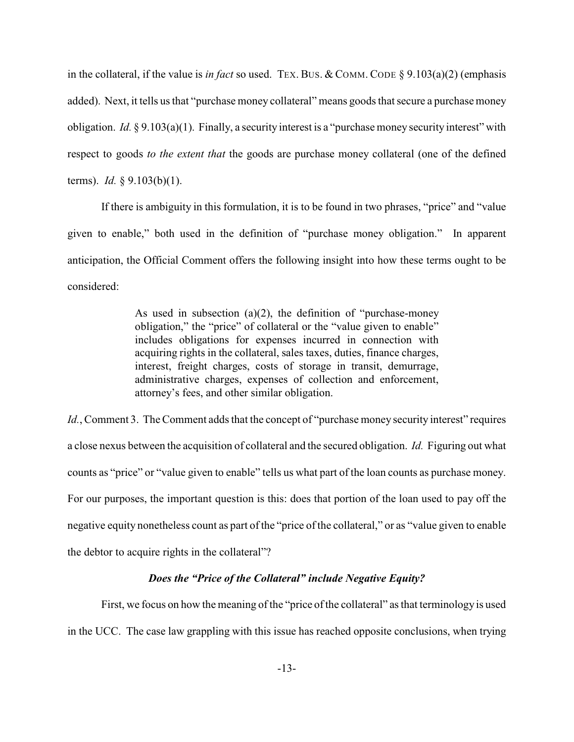in the collateral, if the value is *in fact* so used. TEX. BUS. & COMM. CODE § 9.103(a)(2) (emphasis added). Next, it tells us that "purchase money collateral" means goods that secure a purchase money obligation. *Id.* § 9.103(a)(1). Finally, a security interest is a "purchase money security interest" with respect to goods *to the extent that* the goods are purchase money collateral (one of the defined terms). *Id.* § 9.103(b)(1).

If there is ambiguity in this formulation, it is to be found in two phrases, "price" and "value given to enable," both used in the definition of "purchase money obligation." In apparent anticipation, the Official Comment offers the following insight into how these terms ought to be considered:

> As used in subsection (a)(2), the definition of "purchase-money obligation," the "price" of collateral or the "value given to enable" includes obligations for expenses incurred in connection with acquiring rights in the collateral, sales taxes, duties, finance charges, interest, freight charges, costs of storage in transit, demurrage, administrative charges, expenses of collection and enforcement, attorney's fees, and other similar obligation.

*Id.*, Comment 3. The Comment adds that the concept of "purchase money security interest" requires a close nexus between the acquisition of collateral and the secured obligation. *Id.* Figuring out what counts as "price" or "value given to enable" tells us what part of the loan counts as purchase money. For our purposes, the important question is this: does that portion of the loan used to pay off the negative equity nonetheless count as part of the "price of the collateral," or as "value given to enable the debtor to acquire rights in the collateral"?

### *Does the "Price of the Collateral" include Negative Equity?*

First, we focus on how the meaning of the "price of the collateral" as that terminology is used in the UCC. The case law grappling with this issue has reached opposite conclusions, when trying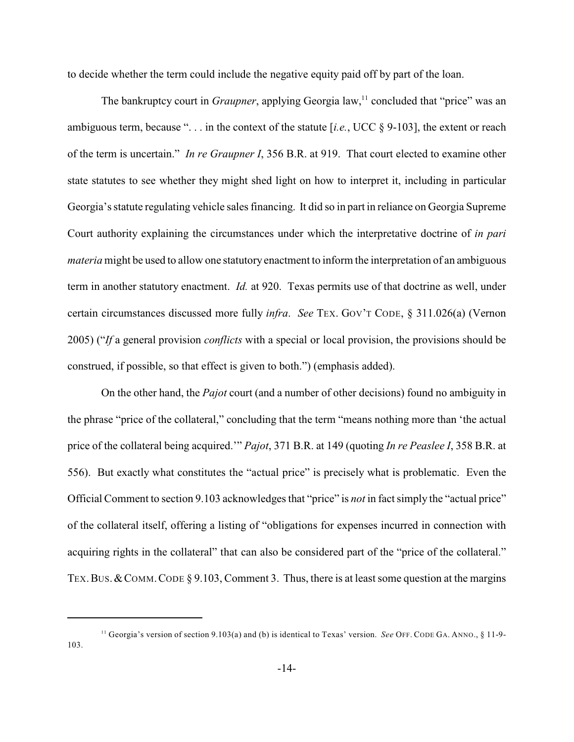to decide whether the term could include the negative equity paid off by part of the loan.

The bankruptcy court in *Graupner*, applying Georgia law,<sup>11</sup> concluded that "price" was an ambiguous term, because ". . . in the context of the statute [*i.e.*, UCC § 9-103], the extent or reach of the term is uncertain." *In re Graupner I*, 356 B.R. at 919. That court elected to examine other state statutes to see whether they might shed light on how to interpret it, including in particular Georgia's statute regulating vehicle sales financing. It did so in part in reliance on Georgia Supreme Court authority explaining the circumstances under which the interpretative doctrine of *in pari materia* might be used to allow one statutory enactment to inform the interpretation of an ambiguous term in another statutory enactment. *Id.* at 920. Texas permits use of that doctrine as well, under certain circumstances discussed more fully *infra*. *See* TEX. GOV'T CODE, § 311.026(a) (Vernon 2005) ("*If* a general provision *conflicts* with a special or local provision, the provisions should be construed, if possible, so that effect is given to both.") (emphasis added).

On the other hand, the *Pajot* court (and a number of other decisions) found no ambiguity in the phrase "price of the collateral," concluding that the term "means nothing more than 'the actual price of the collateral being acquired.'" *Pajot*, 371 B.R. at 149 (quoting *In re Peaslee I*, 358 B.R. at 556). But exactly what constitutes the "actual price" is precisely what is problematic. Even the Official Comment to section 9.103 acknowledges that "price" is *not* in fact simply the "actual price" of the collateral itself, offering a listing of "obligations for expenses incurred in connection with acquiring rights in the collateral" that can also be considered part of the "price of the collateral." TEX. BUS. & COMM. CODE  $\S 9.103$ , Comment 3. Thus, there is at least some question at the margins

<sup>&</sup>lt;sup>11</sup> Georgia's version of section 9.103(a) and (b) is identical to Texas' version. *See* OFF. CODE GA. ANNO., § 11-9-103.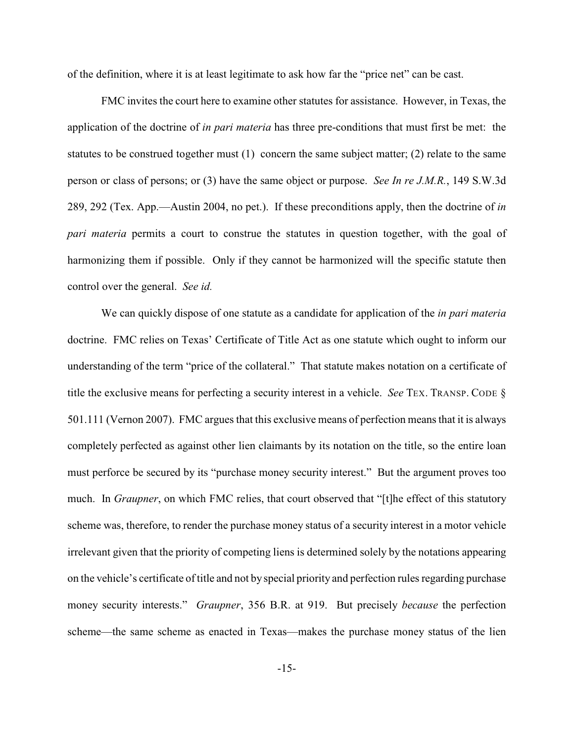of the definition, where it is at least legitimate to ask how far the "price net" can be cast.

FMC invites the court here to examine other statutes for assistance. However, in Texas, the application of the doctrine of *in pari materia* has three pre-conditions that must first be met: the statutes to be construed together must (1) concern the same subject matter; (2) relate to the same person or class of persons; or (3) have the same object or purpose. *See In re J.M.R.*, 149 S.W.3d 289, 292 (Tex. App.—Austin 2004, no pet.). If these preconditions apply, then the doctrine of *in pari materia* permits a court to construe the statutes in question together, with the goal of harmonizing them if possible. Only if they cannot be harmonized will the specific statute then control over the general. *See id.* 

We can quickly dispose of one statute as a candidate for application of the *in pari materia* doctrine. FMC relies on Texas' Certificate of Title Act as one statute which ought to inform our understanding of the term "price of the collateral." That statute makes notation on a certificate of title the exclusive means for perfecting a security interest in a vehicle. *See* TEX. TRANSP. CODE § 501.111 (Vernon 2007). FMC arguesthat this exclusive means of perfection means that it is always completely perfected as against other lien claimants by its notation on the title, so the entire loan must perforce be secured by its "purchase money security interest." But the argument proves too much. In *Graupner*, on which FMC relies, that court observed that "[t]he effect of this statutory scheme was, therefore, to render the purchase money status of a security interest in a motor vehicle irrelevant given that the priority of competing liens is determined solely by the notations appearing on the vehicle's certificate oftitle and not by special priority and perfection rules regarding purchase money security interests." *Graupner*, 356 B.R. at 919. But precisely *because* the perfection scheme—the same scheme as enacted in Texas—makes the purchase money status of the lien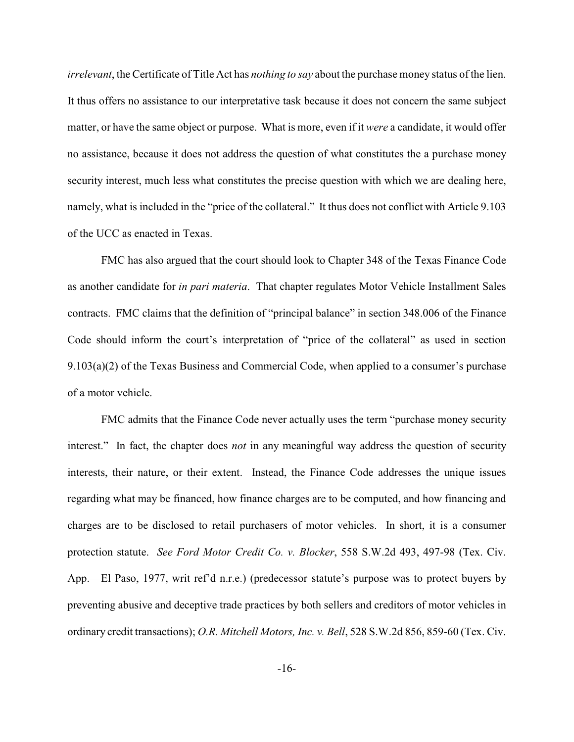*irrelevant*, the Certificate of Title Act has *nothing to say* about the purchase money status of the lien. It thus offers no assistance to our interpretative task because it does not concern the same subject matter, or have the same object or purpose. What is more, even if it *were* a candidate, it would offer no assistance, because it does not address the question of what constitutes the a purchase money security interest, much less what constitutes the precise question with which we are dealing here, namely, what is included in the "price of the collateral." It thus does not conflict with Article 9.103 of the UCC as enacted in Texas.

FMC has also argued that the court should look to Chapter 348 of the Texas Finance Code as another candidate for *in pari materia*. That chapter regulates Motor Vehicle Installment Sales contracts. FMC claims that the definition of "principal balance" in section 348.006 of the Finance Code should inform the court's interpretation of "price of the collateral" as used in section 9.103(a)(2) of the Texas Business and Commercial Code, when applied to a consumer's purchase of a motor vehicle.

FMC admits that the Finance Code never actually uses the term "purchase money security interest." In fact, the chapter does *not* in any meaningful way address the question of security interests, their nature, or their extent. Instead, the Finance Code addresses the unique issues regarding what may be financed, how finance charges are to be computed, and how financing and charges are to be disclosed to retail purchasers of motor vehicles. In short, it is a consumer protection statute. *See Ford Motor Credit Co. v. Blocker*, 558 S.W.2d 493, 497-98 (Tex. Civ. App.—El Paso, 1977, writ ref'd n.r.e.) (predecessor statute's purpose was to protect buyers by preventing abusive and deceptive trade practices by both sellers and creditors of motor vehicles in ordinary credit transactions); *O.R. Mitchell Motors, Inc. v. Bell*, 528 S.W.2d 856, 859-60 (Tex. Civ.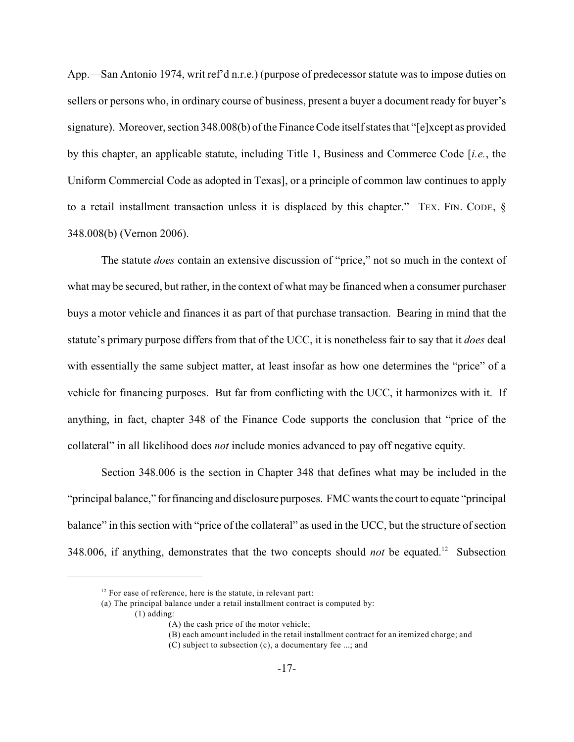App.—San Antonio 1974, writ ref'd n.r.e.) (purpose of predecessorstatute was to impose duties on sellers or persons who, in ordinary course of business, present a buyer a document ready for buyer's signature). Moreover, section 348.008(b) of the Finance Code itself states that "[e]xcept as provided by this chapter, an applicable statute, including Title 1, Business and Commerce Code [*i.e.*, the Uniform Commercial Code as adopted in Texas], or a principle of common law continues to apply to a retail installment transaction unless it is displaced by this chapter." TEX. FIN. CODE, § 348.008(b) (Vernon 2006).

The statute *does* contain an extensive discussion of "price," not so much in the context of what may be secured, but rather, in the context of what may be financed when a consumer purchaser buys a motor vehicle and finances it as part of that purchase transaction. Bearing in mind that the statute's primary purpose differs from that of the UCC, it is nonetheless fair to say that it *does* deal with essentially the same subject matter, at least insofar as how one determines the "price" of a vehicle for financing purposes. But far from conflicting with the UCC, it harmonizes with it. If anything, in fact, chapter 348 of the Finance Code supports the conclusion that "price of the collateral" in all likelihood does *not* include monies advanced to pay off negative equity.

Section 348.006 is the section in Chapter 348 that defines what may be included in the "principal balance," for financing and disclosure purposes. FMC wants the court to equate "principal balance" in this section with "price of the collateral" as used in the UCC, but the structure of section 348.006, if anything, demonstrates that the two concepts should *not* be equated.<sup>12</sup> Subsection

(a) The principal balance under a retail installment contract is computed by:

(1) adding:

(B) each amount included in the retail installment contract for an itemized charge; and

 $12$  For ease of reference, here is the statute, in relevant part:

<sup>(</sup>A) the cash price of the motor vehicle;

<sup>(</sup>C) subject to subsection (c), a documentary fee ...; and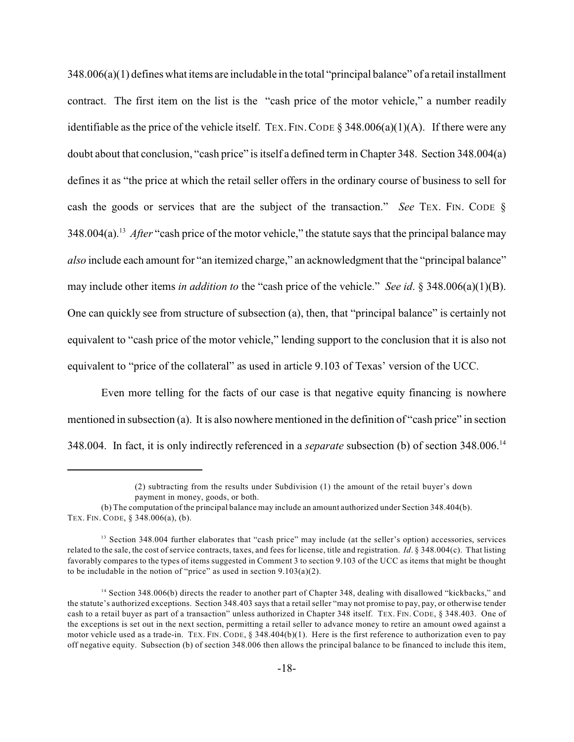348.006(a)(1) defines what items are includable in the total "principal balance" of a retail installment contract. The first item on the list is the "cash price of the motor vehicle," a number readily identifiable as the price of the vehicle itself. TEX. FIN. CODE  $\S$  348.006(a)(1)(A). If there were any doubt about that conclusion, "cash price" is itself a defined term in Chapter 348. Section 348.004(a) defines it as "the price at which the retail seller offers in the ordinary course of business to sell for cash the goods or services that are the subject of the transaction." *See* TEX. FIN. CODE § 348.004(a).<sup>13</sup> *After* "cash price of the motor vehicle," the statute says that the principal balance may *also* include each amount for "an itemized charge," an acknowledgment that the "principal balance" may include other items *in addition to* the "cash price of the vehicle." *See id*. § 348.006(a)(1)(B). One can quickly see from structure of subsection (a), then, that "principal balance" is certainly not equivalent to "cash price of the motor vehicle," lending support to the conclusion that it is also not equivalent to "price of the collateral" as used in article 9.103 of Texas' version of the UCC.

Even more telling for the facts of our case is that negative equity financing is nowhere mentioned in subsection (a). It is also nowhere mentioned in the definition of "cash price" in section 348.004. In fact, it is only indirectly referenced in a *separate* subsection (b) of section 348.006.<sup>14</sup>

<sup>(2)</sup> subtracting from the results under Subdivision (1) the amount of the retail buyer's down payment in money, goods, or both.

<sup>(</sup>b) The computation of the principal balance may include an amount authorized under Section 348.404(b). TEX. FIN. CODE, § 348.006(a), (b).

<sup>&</sup>lt;sup>13</sup> Section 348.004 further elaborates that "cash price" may include (at the seller's option) accessories, services related to the sale, the cost of service contracts, taxes, and fees for license, title and registration. *Id*. § 348.004(c). That listing favorably compares to the types of items suggested in Comment 3 to section 9.103 of the UCC as items that might be thought to be includable in the notion of "price" as used in section 9.103(a)(2).

<sup>&</sup>lt;sup>14</sup> Section 348.006(b) directs the reader to another part of Chapter 348, dealing with disallowed "kickbacks," and the statute's authorized exceptions. Section 348.403 says that a retail seller "may not promise to pay, pay, or otherwise tender cash to a retail buyer as part of a transaction" unless authorized in Chapter 348 itself. TEX. FIN. CODE, § 348.403. One of the exceptions is set out in the next section, permitting a retail seller to advance money to retire an amount owed against a motor vehicle used as a trade-in. TEX. FIN. CODE, § 348.404(b)(1). Here is the first reference to authorization even to pay off negative equity. Subsection (b) of section 348.006 then allows the principal balance to be financed to include this item,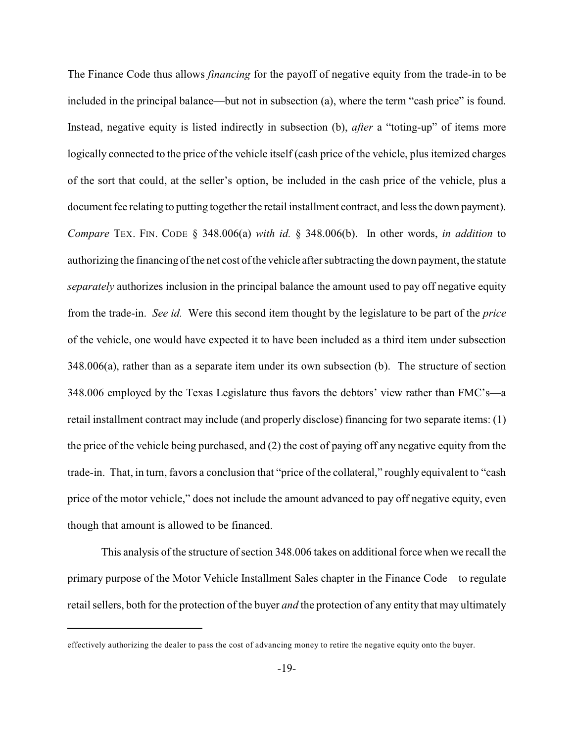The Finance Code thus allows *financing* for the payoff of negative equity from the trade-in to be included in the principal balance—but not in subsection (a), where the term "cash price" is found. Instead, negative equity is listed indirectly in subsection (b), *after* a "toting-up" of items more logically connected to the price of the vehicle itself (cash price of the vehicle, plus itemized charges of the sort that could, at the seller's option, be included in the cash price of the vehicle, plus a document fee relating to putting together the retail installment contract, and less the down payment). *Compare* TEX. FIN. CODE § 348.006(a) *with id.* § 348.006(b). In other words, *in addition* to authorizing the financing of the net cost of the vehicle after subtracting the down payment, the statute *separately* authorizes inclusion in the principal balance the amount used to pay off negative equity from the trade-in. *See id.* Were this second item thought by the legislature to be part of the *price* of the vehicle, one would have expected it to have been included as a third item under subsection 348.006(a), rather than as a separate item under its own subsection (b). The structure of section 348.006 employed by the Texas Legislature thus favors the debtors' view rather than FMC's—a retail installment contract may include (and properly disclose) financing for two separate items: (1) the price of the vehicle being purchased, and (2) the cost of paying off any negative equity from the trade-in. That, in turn, favors a conclusion that "price of the collateral," roughly equivalent to "cash price of the motor vehicle," does not include the amount advanced to pay off negative equity, even though that amount is allowed to be financed.

This analysis of the structure of section 348.006 takes on additional force when we recall the primary purpose of the Motor Vehicle Installment Sales chapter in the Finance Code—to regulate retail sellers, both for the protection of the buyer *and* the protection of any entity that may ultimately

effectively authorizing the dealer to pass the cost of advancing money to retire the negative equity onto the buyer.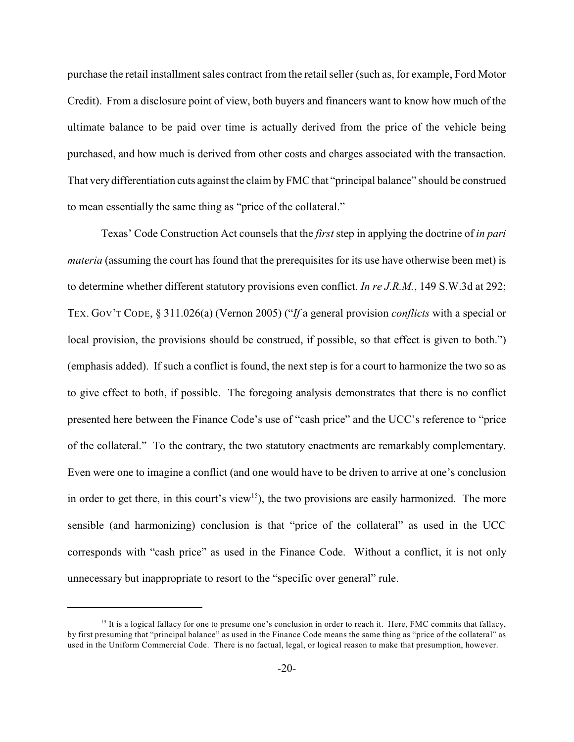purchase the retail installment sales contract from the retail seller (such as, for example, Ford Motor Credit). From a disclosure point of view, both buyers and financers want to know how much of the ultimate balance to be paid over time is actually derived from the price of the vehicle being purchased, and how much is derived from other costs and charges associated with the transaction. That very differentiation cuts against the claim by FMC that "principal balance" should be construed to mean essentially the same thing as "price of the collateral."

Texas' Code Construction Act counsels that the *first* step in applying the doctrine of *in pari materia* (assuming the court has found that the prerequisites for its use have otherwise been met) is to determine whether different statutory provisions even conflict. *In re J.R.M.*, 149 S.W.3d at 292; TEX. GOV'T CODE, § 311.026(a) (Vernon 2005) ("*If* a general provision *conflicts* with a special or local provision, the provisions should be construed, if possible, so that effect is given to both.") (emphasis added). If such a conflict is found, the next step is for a court to harmonize the two so as to give effect to both, if possible. The foregoing analysis demonstrates that there is no conflict presented here between the Finance Code's use of "cash price" and the UCC's reference to "price of the collateral." To the contrary, the two statutory enactments are remarkably complementary. Even were one to imagine a conflict (and one would have to be driven to arrive at one's conclusion in order to get there, in this court's view<sup>15</sup>), the two provisions are easily harmonized. The more sensible (and harmonizing) conclusion is that "price of the collateral" as used in the UCC corresponds with "cash price" as used in the Finance Code. Without a conflict, it is not only unnecessary but inappropriate to resort to the "specific over general" rule.

<sup>&</sup>lt;sup>15</sup> It is a logical fallacy for one to presume one's conclusion in order to reach it. Here, FMC commits that fallacy, by first presuming that "principal balance" as used in the Finance Code means the same thing as "price of the collateral" as used in the Uniform Commercial Code. There is no factual, legal, or logical reason to make that presumption, however.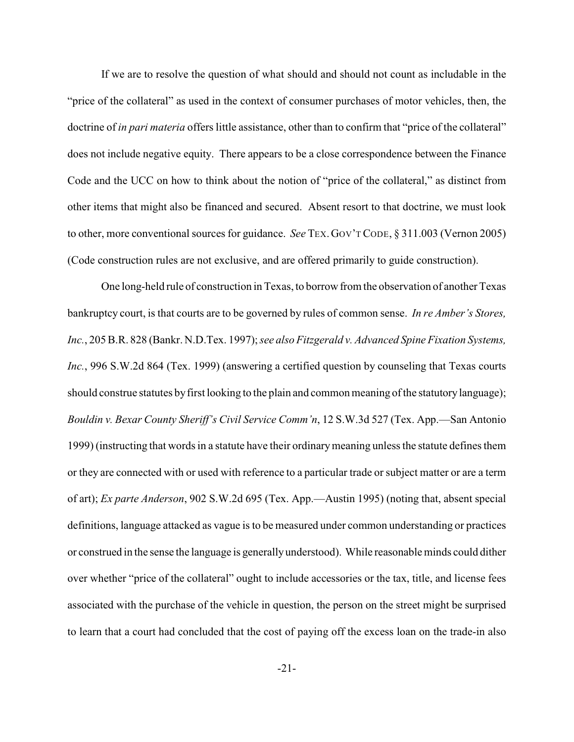If we are to resolve the question of what should and should not count as includable in the "price of the collateral" as used in the context of consumer purchases of motor vehicles, then, the doctrine of *in pari materia* offers little assistance, other than to confirm that "price of the collateral" does not include negative equity. There appears to be a close correspondence between the Finance Code and the UCC on how to think about the notion of "price of the collateral," as distinct from other items that might also be financed and secured. Absent resort to that doctrine, we must look to other, more conventional sources for guidance. *See* TEX.GOV'T CODE, § 311.003 (Vernon 2005) (Code construction rules are not exclusive, and are offered primarily to guide construction).

One long-held rule of construction in Texas, to borrow from the observation of another Texas bankruptcy court, is that courts are to be governed by rules of common sense. *In re Amber's Stores, Inc.*, 205 B.R. 828 (Bankr. N.D.Tex. 1997);*see also Fitzgerald v. Advanced Spine Fixation Systems, Inc.*, 996 S.W.2d 864 (Tex. 1999) (answering a certified question by counseling that Texas courts should construe statutes by first looking to the plain and common meaning of the statutory language); *Bouldin v. Bexar County Sheriff's Civil Service Comm'n*, 12 S.W.3d 527 (Tex. App.—San Antonio 1999) (instructing that words in a statute have their ordinary meaning unless the statute defines them or they are connected with or used with reference to a particular trade or subject matter or are a term of art); *Ex parte Anderson*, 902 S.W.2d 695 (Tex. App.—Austin 1995) (noting that, absent special definitions, language attacked as vague is to be measured under common understanding or practices or construed in the sense the language is generally understood). While reasonable minds could dither over whether "price of the collateral" ought to include accessories or the tax, title, and license fees associated with the purchase of the vehicle in question, the person on the street might be surprised to learn that a court had concluded that the cost of paying off the excess loan on the trade-in also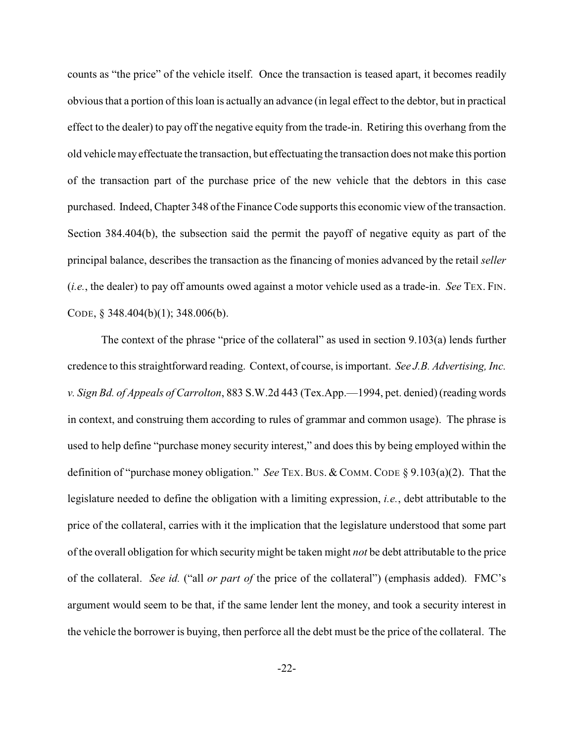counts as "the price" of the vehicle itself. Once the transaction is teased apart, it becomes readily obvious that a portion of this loan is actually an advance (in legal effect to the debtor, but in practical effect to the dealer) to pay off the negative equity from the trade-in. Retiring this overhang from the old vehicle mayeffectuate the transaction, but effectuating the transaction does not make this portion of the transaction part of the purchase price of the new vehicle that the debtors in this case purchased. Indeed, Chapter 348 of the Finance Code supports this economic view of the transaction. Section 384.404(b), the subsection said the permit the payoff of negative equity as part of the principal balance, describes the transaction as the financing of monies advanced by the retail *seller* (*i.e.*, the dealer) to pay off amounts owed against a motor vehicle used as a trade-in. *See* TEX. FIN. CODE, § 348.404(b)(1); 348.006(b).

The context of the phrase "price of the collateral" as used in section 9.103(a) lends further credence to this straightforward reading. Context, of course, is important. *See J.B. Advertising, Inc. v. Sign Bd. of Appeals of Carrolton*, 883 S.W.2d 443 (Tex.App.—1994, pet. denied) (reading words in context, and construing them according to rules of grammar and common usage). The phrase is used to help define "purchase money security interest," and does this by being employed within the definition of "purchase money obligation." *See* TEX. BUS. & COMM. CODE § 9.103(a)(2). That the legislature needed to define the obligation with a limiting expression, *i.e.*, debt attributable to the price of the collateral, carries with it the implication that the legislature understood that some part of the overall obligation for which securitymight be taken might *not* be debt attributable to the price of the collateral. *See id.* ("all *or part of* the price of the collateral") (emphasis added). FMC's argument would seem to be that, if the same lender lent the money, and took a security interest in the vehicle the borrower is buying, then perforce all the debt must be the price of the collateral. The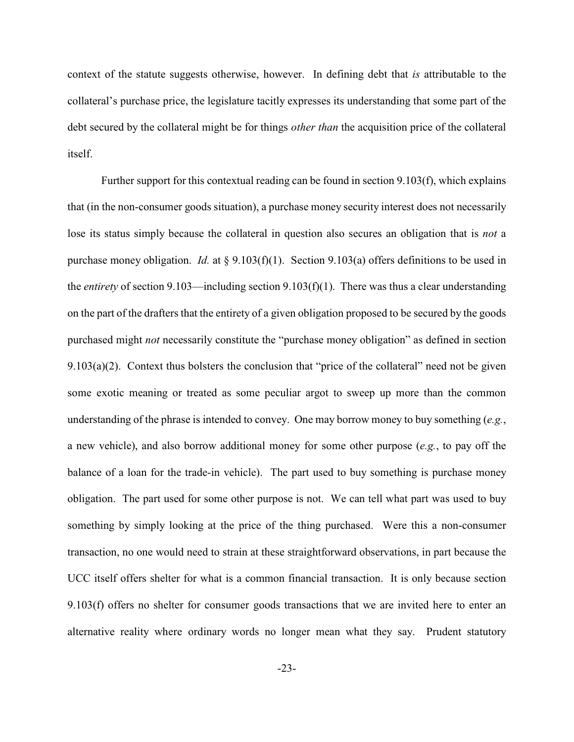context of the statute suggests otherwise, however. In defining debt that *is* attributable to the collateral's purchase price, the legislature tacitly expresses its understanding that some part of the debt secured by the collateral might be for things *other than* the acquisition price of the collateral itself.

Further support for this contextual reading can be found in section 9.103(f), which explains that (in the non-consumer goods situation), a purchase money security interest does not necessarily lose its status simply because the collateral in question also secures an obligation that is *not* a purchase money obligation. *Id.* at § 9.103(f)(1). Section 9.103(a) offers definitions to be used in the *entirety* of section 9.103—including section 9.103(f)(1). There was thus a clear understanding on the part of the drafters that the entirety of a given obligation proposed to be secured by the goods purchased might *not* necessarily constitute the "purchase money obligation" as defined in section 9.103(a)(2). Context thus bolsters the conclusion that "price of the collateral" need not be given some exotic meaning or treated as some peculiar argot to sweep up more than the common understanding of the phrase is intended to convey. One may borrow money to buy something (*e.g.*, a new vehicle), and also borrow additional money for some other purpose (*e.g.*, to pay off the balance of a loan for the trade-in vehicle). The part used to buy something is purchase money obligation. The part used for some other purpose is not. We can tell what part was used to buy something by simply looking at the price of the thing purchased. Were this a non-consumer transaction, no one would need to strain at these straightforward observations, in part because the UCC itself offers shelter for what is a common financial transaction. It is only because section 9.103(f) offers no shelter for consumer goods transactions that we are invited here to enter an alternative reality where ordinary words no longer mean what they say. Prudent statutory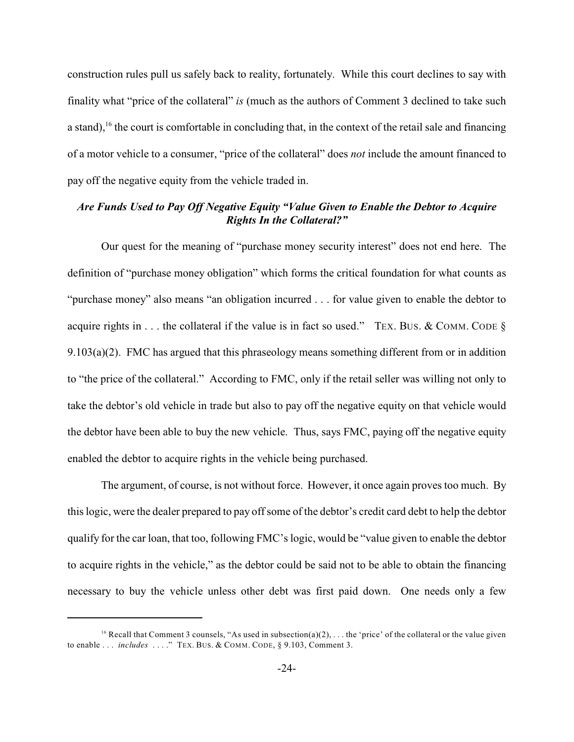construction rules pull us safely back to reality, fortunately. While this court declines to say with finality what "price of the collateral" *is* (much as the authors of Comment 3 declined to take such a stand),  $16$  the court is comfortable in concluding that, in the context of the retail sale and financing of a motor vehicle to a consumer, "price of the collateral" does *not* include the amount financed to pay off the negative equity from the vehicle traded in.

#### *Are Funds Used to Pay Off Negative Equity "Value Given to Enable the Debtor to Acquire Rights In the Collateral?"*

Our quest for the meaning of "purchase money security interest" does not end here. The definition of "purchase money obligation" which forms the critical foundation for what counts as "purchase money" also means "an obligation incurred . . . for value given to enable the debtor to acquire rights in . . . the collateral if the value is in fact so used." TEX. BUS. & COMM. CODE  $\S$ 9.103(a)(2). FMC has argued that this phraseology means something different from or in addition to "the price of the collateral." According to FMC, only if the retail seller was willing not only to take the debtor's old vehicle in trade but also to pay off the negative equity on that vehicle would the debtor have been able to buy the new vehicle. Thus, says FMC, paying off the negative equity enabled the debtor to acquire rights in the vehicle being purchased.

The argument, of course, is not without force. However, it once again proves too much. By this logic, were the dealer prepared to pay off some of the debtor's credit card debt to help the debtor qualify for the car loan, that too, following FMC's logic, would be "value given to enable the debtor to acquire rights in the vehicle," as the debtor could be said not to be able to obtain the financing necessary to buy the vehicle unless other debt was first paid down. One needs only a few

<sup>&</sup>lt;sup>16</sup> Recall that Comment 3 counsels, "As used in subsection(a)(2), ... the 'price' of the collateral or the value given to enable . . . *includes* . . . ." TEX. BUS. & COMM. CODE, § 9.103, Comment 3.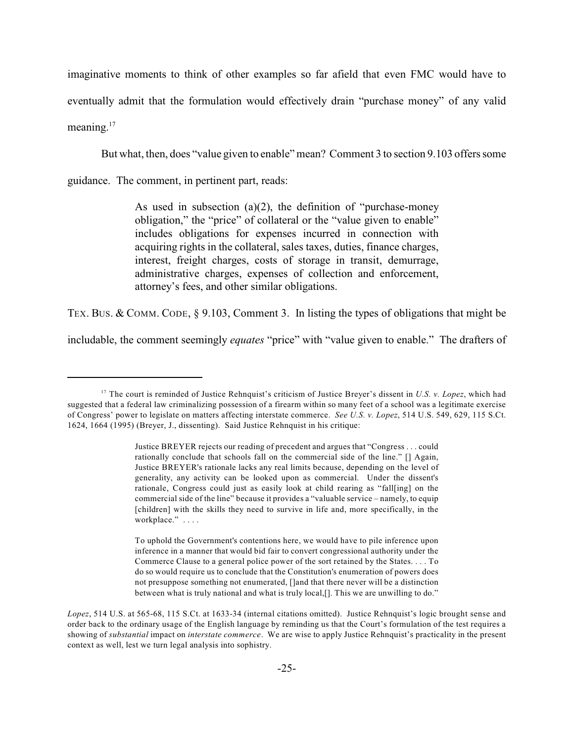imaginative moments to think of other examples so far afield that even FMC would have to eventually admit that the formulation would effectively drain "purchase money" of any valid meaning.<sup>17</sup>

But what, then, does "value given to enable" mean? Comment 3 to section 9.103 offers some

guidance. The comment, in pertinent part, reads:

As used in subsection (a)(2), the definition of "purchase-money obligation," the "price" of collateral or the "value given to enable" includes obligations for expenses incurred in connection with acquiring rights in the collateral, sales taxes, duties, finance charges, interest, freight charges, costs of storage in transit, demurrage, administrative charges, expenses of collection and enforcement, attorney's fees, and other similar obligations.

TEX. BUS. & COMM. CODE, § 9.103, Comment 3. In listing the types of obligations that might be

includable, the comment seemingly *equates* "price" with "value given to enable." The drafters of

<sup>&</sup>lt;sup>17</sup> The court is reminded of Justice Rehnquist's criticism of Justice Breyer's dissent in *U.S. v. Lopez*, which had suggested that a federal law criminalizing possession of a firearm within so many feet of a school was a legitimate exercise of Congress' power to legislate on matters affecting interstate commerce. *See U.S. v. Lopez*, 514 U.S. 549, 629, 115 S.Ct. 1624, 1664 (1995) (Breyer, J., dissenting). Said Justice Rehnquist in his critique:

Justice BREYER rejects our reading of precedent and argues that "Congress . . . could rationally conclude that schools fall on the commercial side of the line." [] Again, Justice BREYER's rationale lacks any real limits because, depending on the level of generality, any activity can be looked upon as commercial. Under the dissent's rationale, Congress could just as easily look at child rearing as "fall[ing] on the commercial side of the line" because it provides a "valuable service – namely, to equip [children] with the skills they need to survive in life and, more specifically, in the workplace." . . . .

To uphold the Government's contentions here, we would have to pile inference upon inference in a manner that would bid fair to convert congressional authority under the Commerce Clause to a general police power of the sort retained by the States. . . . To do so would require us to conclude that the Constitution's enumeration of powers does not presuppose something not enumerated, []and that there never will be a distinction between what is truly national and what is truly local,[]. This we are unwilling to do."

*Lopez*, 514 U.S. at 565-68, 115 S.Ct. at 1633-34 (internal citations omitted). Justice Rehnquist's logic brought sense and order back to the ordinary usage of the English language by reminding us that the Court's formulation of the test requires a showing of *substantial* impact on *interstate commerce*. We are wise to apply Justice Rehnquist's practicality in the present context as well, lest we turn legal analysis into sophistry.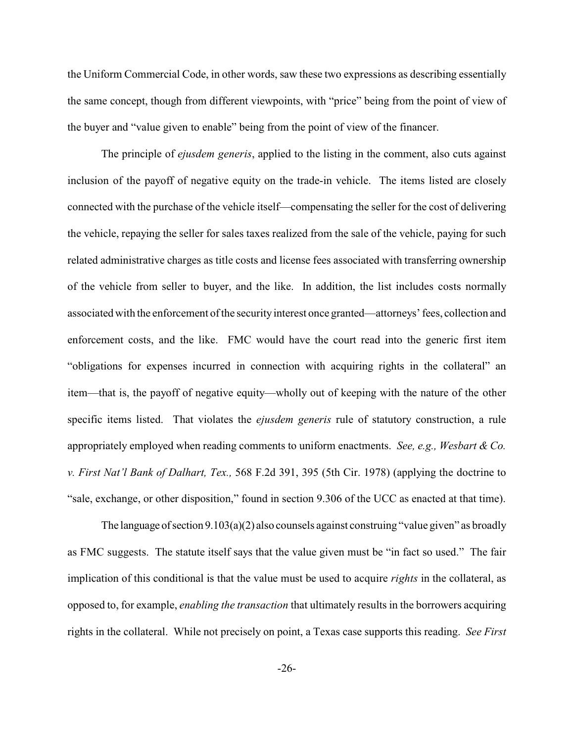the Uniform Commercial Code, in other words, saw these two expressions as describing essentially the same concept, though from different viewpoints, with "price" being from the point of view of the buyer and "value given to enable" being from the point of view of the financer.

The principle of *ejusdem generis*, applied to the listing in the comment, also cuts against inclusion of the payoff of negative equity on the trade-in vehicle. The items listed are closely connected with the purchase of the vehicle itself—compensating the seller for the cost of delivering the vehicle, repaying the seller for sales taxes realized from the sale of the vehicle, paying for such related administrative charges as title costs and license fees associated with transferring ownership of the vehicle from seller to buyer, and the like. In addition, the list includes costs normally associated with the enforcement of the security interest once granted—attorneys' fees, collection and enforcement costs, and the like. FMC would have the court read into the generic first item "obligations for expenses incurred in connection with acquiring rights in the collateral" an item—that is, the payoff of negative equity—wholly out of keeping with the nature of the other specific items listed. That violates the *ejusdem generis* rule of statutory construction, a rule appropriately employed when reading comments to uniform enactments. *See, e.g., Wesbart & Co. v. First Nat'l Bank of Dalhart, Tex.,* 568 F.2d 391, 395 (5th Cir. 1978) (applying the doctrine to "sale, exchange, or other disposition," found in section 9.306 of the UCC as enacted at that time).

The language of section 9.103(a)(2) also counsels against construing "value given" as broadly as FMC suggests. The statute itself says that the value given must be "in fact so used." The fair implication of this conditional is that the value must be used to acquire *rights* in the collateral, as opposed to, for example, *enabling the transaction* that ultimately results in the borrowers acquiring rights in the collateral. While not precisely on point, a Texas case supports this reading. *See First*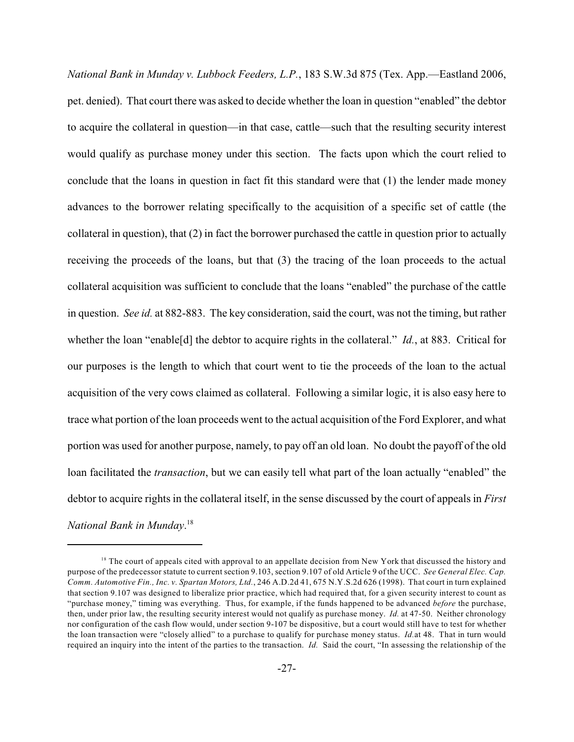*National Bank in Munday v. Lubbock Feeders, L.P.*, 183 S.W.3d 875 (Tex. App.—Eastland 2006, pet. denied). That court there was asked to decide whether the loan in question "enabled" the debtor to acquire the collateral in question—in that case, cattle—such that the resulting security interest would qualify as purchase money under this section. The facts upon which the court relied to conclude that the loans in question in fact fit this standard were that (1) the lender made money advances to the borrower relating specifically to the acquisition of a specific set of cattle (the collateral in question), that (2) in fact the borrower purchased the cattle in question prior to actually receiving the proceeds of the loans, but that (3) the tracing of the loan proceeds to the actual collateral acquisition was sufficient to conclude that the loans "enabled" the purchase of the cattle in question. *See id.* at 882-883. The key consideration, said the court, was not the timing, but rather whether the loan "enable[d] the debtor to acquire rights in the collateral." *Id.*, at 883. Critical for our purposes is the length to which that court went to tie the proceeds of the loan to the actual acquisition of the very cows claimed as collateral. Following a similar logic, it is also easy here to trace what portion of the loan proceeds went to the actual acquisition of the Ford Explorer, and what portion was used for another purpose, namely, to pay off an old loan. No doubt the payoff of the old loan facilitated the *transaction*, but we can easily tell what part of the loan actually "enabled" the debtor to acquire rights in the collateral itself, in the sense discussed by the court of appeals in *First National Bank in Munday*. 18

 $<sup>18</sup>$  The court of appeals cited with approval to an appellate decision from New York that discussed the history and</sup> purpose of the predecessor statute to current section 9.103, section 9.107 of old Article 9 of the UCC. *See General Elec. Cap. Comm. Automotive Fin., Inc. v. Spartan Motors, Ltd.*, 246 A.D.2d 41, 675 N.Y.S.2d 626 (1998). That court in turn explained that section 9.107 was designed to liberalize prior practice, which had required that, for a given security interest to count as "purchase money," timing was everything. Thus, for example, if the funds happened to be advanced *before* the purchase, then, under prior law, the resulting security interest would not qualify as purchase money. *Id.* at 47-50. Neither chronology nor configuration of the cash flow would, under section 9-107 be dispositive, but a court would still have to test for whether the loan transaction were "closely allied" to a purchase to qualify for purchase money status. *Id.*at 48. That in turn would required an inquiry into the intent of the parties to the transaction. *Id.* Said the court, "In assessing the relationship of the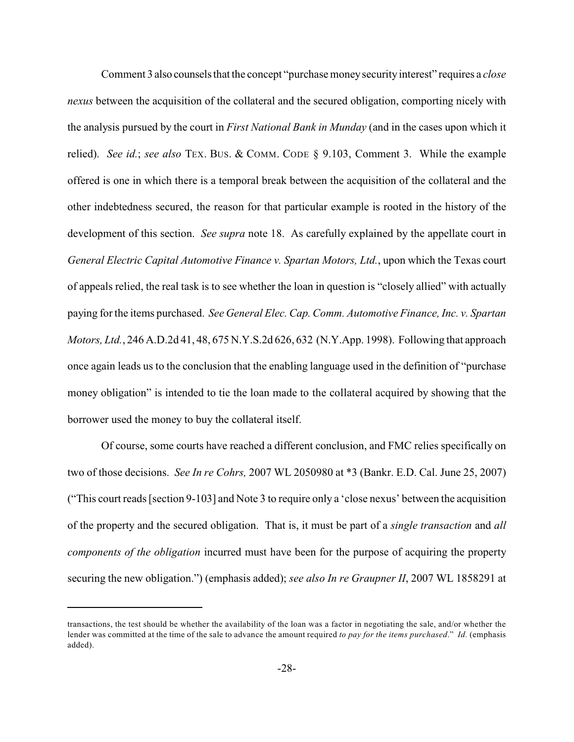Comment 3 also counsels that the concept "purchase money security interest" requires a *close nexus* between the acquisition of the collateral and the secured obligation, comporting nicely with the analysis pursued by the court in *First National Bank in Munday* (and in the cases upon which it relied). *See id.*; *see also* TEX. BUS. & COMM. CODE § 9.103, Comment 3. While the example offered is one in which there is a temporal break between the acquisition of the collateral and the other indebtedness secured, the reason for that particular example is rooted in the history of the development of this section. *See supra* note 18. As carefully explained by the appellate court in *General Electric Capital Automotive Finance v. Spartan Motors, Ltd.*, upon which the Texas court of appeals relied, the real task is to see whether the loan in question is "closely allied" with actually paying for the items purchased. *See General Elec. Cap. Comm. Automotive Finance, Inc. v. Spartan Motors, Ltd.*, 246 A.D.2d 41, 48, 675 N.Y.S.2d 626, 632 (N.Y.App. 1998). Following that approach once again leads us to the conclusion that the enabling language used in the definition of "purchase money obligation" is intended to tie the loan made to the collateral acquired by showing that the borrower used the money to buy the collateral itself.

Of course, some courts have reached a different conclusion, and FMC relies specifically on two of those decisions. *See In re Cohrs,* 2007 WL 2050980 at \*3 (Bankr. E.D. Cal. June 25, 2007) ("This court reads [section 9-103] and Note 3 to require only a 'close nexus' between the acquisition of the property and the secured obligation. That is, it must be part of a *single transaction* and *all components of the obligation* incurred must have been for the purpose of acquiring the property securing the new obligation.") (emphasis added); *see also In re Graupner II*, 2007 WL 1858291 at

transactions, the test should be whether the availability of the loan was a factor in negotiating the sale, and/or whether the lender was committed at the time of the sale to advance the amount required *to pay for the items purchased*." *Id.* (emphasis added).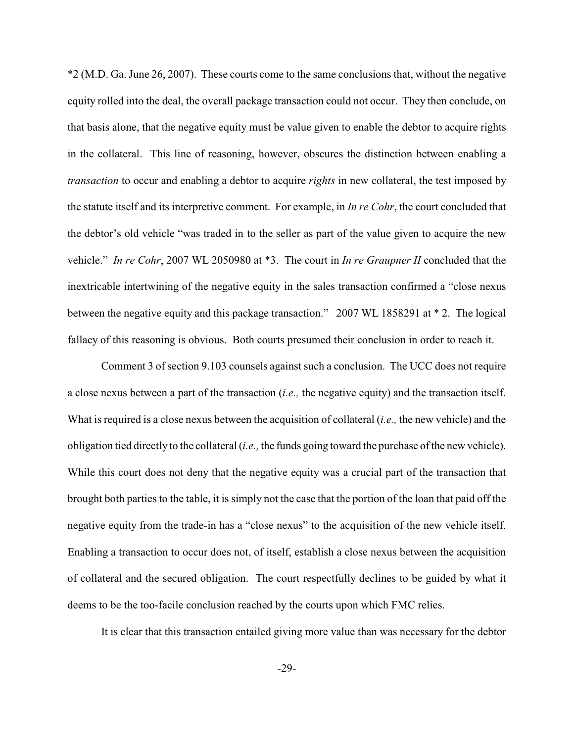\*2 (M.D. Ga. June 26, 2007). These courts come to the same conclusions that, without the negative equity rolled into the deal, the overall package transaction could not occur. They then conclude, on that basis alone, that the negative equity must be value given to enable the debtor to acquire rights in the collateral. This line of reasoning, however, obscures the distinction between enabling a *transaction* to occur and enabling a debtor to acquire *rights* in new collateral, the test imposed by the statute itself and its interpretive comment. For example, in *In re Cohr*, the court concluded that the debtor's old vehicle "was traded in to the seller as part of the value given to acquire the new vehicle." *In re Cohr*, 2007 WL 2050980 at \*3. The court in *In re Graupner II* concluded that the inextricable intertwining of the negative equity in the sales transaction confirmed a "close nexus between the negative equity and this package transaction." 2007 WL 1858291 at \* 2. The logical fallacy of this reasoning is obvious. Both courts presumed their conclusion in order to reach it.

Comment 3 of section 9.103 counsels against such a conclusion. The UCC does not require a close nexus between a part of the transaction (*i.e.,* the negative equity) and the transaction itself. What is required is a close nexus between the acquisition of collateral (*i.e.,* the new vehicle) and the obligation tied directly to the collateral (*i.e.,* the funds going toward the purchase of the new vehicle). While this court does not deny that the negative equity was a crucial part of the transaction that brought both parties to the table, it is simply not the case that the portion of the loan that paid off the negative equity from the trade-in has a "close nexus" to the acquisition of the new vehicle itself. Enabling a transaction to occur does not, of itself, establish a close nexus between the acquisition of collateral and the secured obligation. The court respectfully declines to be guided by what it deems to be the too-facile conclusion reached by the courts upon which FMC relies.

It is clear that this transaction entailed giving more value than was necessary for the debtor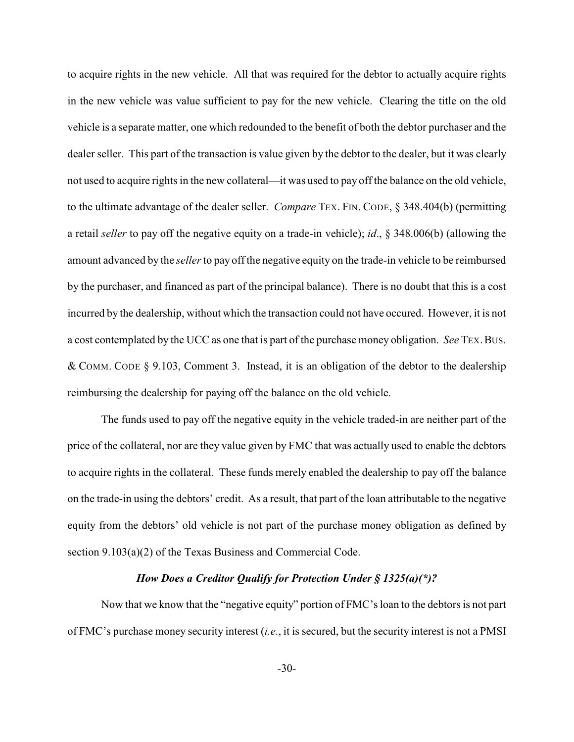to acquire rights in the new vehicle. All that was required for the debtor to actually acquire rights in the new vehicle was value sufficient to pay for the new vehicle. Clearing the title on the old vehicle is a separate matter, one which redounded to the benefit of both the debtor purchaser and the dealer seller. This part of the transaction is value given by the debtor to the dealer, but it was clearly not used to acquire rights in the new collateral—it was used to pay off the balance on the old vehicle, to the ultimate advantage of the dealer seller. *Compare* TEX. FIN. CODE, § 348.404(b) (permitting a retail *seller* to pay off the negative equity on a trade-in vehicle); *id*., § 348.006(b) (allowing the amount advanced by the *seller* to pay off the negative equity on the trade-in vehicle to be reimbursed by the purchaser, and financed as part of the principal balance). There is no doubt that this is a cost incurred by the dealership, without which the transaction could not have occured. However, it is not a cost contemplated by the UCC as one that is part of the purchase money obligation. *See* TEX.BUS. & COMM. CODE § 9.103, Comment 3. Instead, it is an obligation of the debtor to the dealership reimbursing the dealership for paying off the balance on the old vehicle.

The funds used to pay off the negative equity in the vehicle traded-in are neither part of the price of the collateral, nor are they value given by FMC that was actually used to enable the debtors to acquire rights in the collateral. These funds merely enabled the dealership to pay off the balance on the trade-in using the debtors' credit. As a result, that part of the loan attributable to the negative equity from the debtors' old vehicle is not part of the purchase money obligation as defined by section 9.103(a)(2) of the Texas Business and Commercial Code.

#### *How Does a Creditor Qualify for Protection Under § 1325(a)(\*)?*

Now that we know that the "negative equity" portion of FMC's loan to the debtors is not part of FMC's purchase money security interest (*i.e.*, it is secured, but the security interest is not a PMSI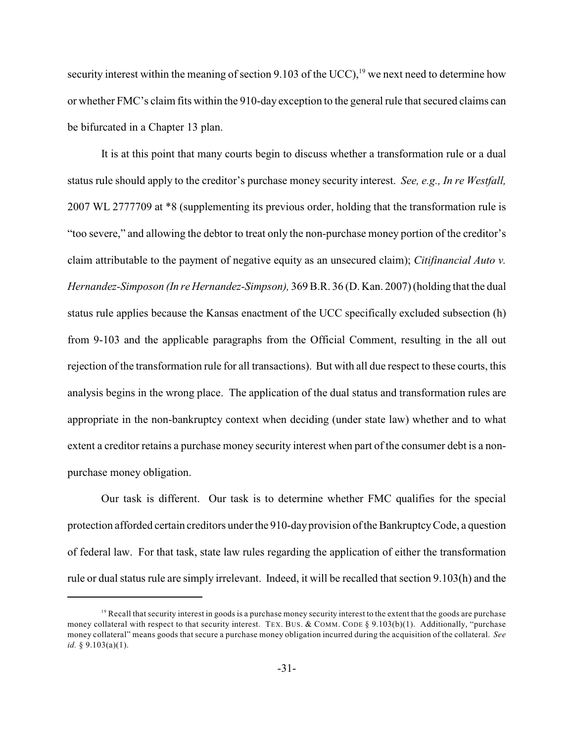security interest within the meaning of section 9.103 of the UCC), <sup>19</sup> we next need to determine how or whether FMC's claim fits within the 910-day exception to the general rule that secured claims can be bifurcated in a Chapter 13 plan.

It is at this point that many courts begin to discuss whether a transformation rule or a dual status rule should apply to the creditor's purchase money security interest. *See, e.g., In re Westfall,* 2007 WL 2777709 at \*8 (supplementing its previous order, holding that the transformation rule is "too severe," and allowing the debtor to treat only the non-purchase money portion of the creditor's claim attributable to the payment of negative equity as an unsecured claim); *Citifinancial Auto v. Hernandez-Simposon (In re Hernandez-Simpson),* 369 B.R. 36 (D. Kan. 2007) (holding that the dual status rule applies because the Kansas enactment of the UCC specifically excluded subsection (h) from 9-103 and the applicable paragraphs from the Official Comment, resulting in the all out rejection of the transformation rule for all transactions). But with all due respect to these courts, this analysis begins in the wrong place. The application of the dual status and transformation rules are appropriate in the non-bankruptcy context when deciding (under state law) whether and to what extent a creditor retains a purchase money security interest when part of the consumer debt is a nonpurchase money obligation.

Our task is different. Our task is to determine whether FMC qualifies for the special protection afforded certain creditors under the 910-dayprovision ofthe Bankruptcy Code, a question of federal law. For that task, state law rules regarding the application of either the transformation rule or dual status rule are simply irrelevant. Indeed, it will be recalled that section 9.103(h) and the

 $<sup>19</sup>$  Recall that security interest in goods is a purchase money security interest to the extent that the goods are purchase</sup> money collateral with respect to that security interest. TEX. BUS. & COMM. CODE § 9.103(b)(1). Additionally, "purchase money collateral" means goods that secure a purchase money obligation incurred during the acquisition of the collateral. *See id.* § 9.103(a)(1).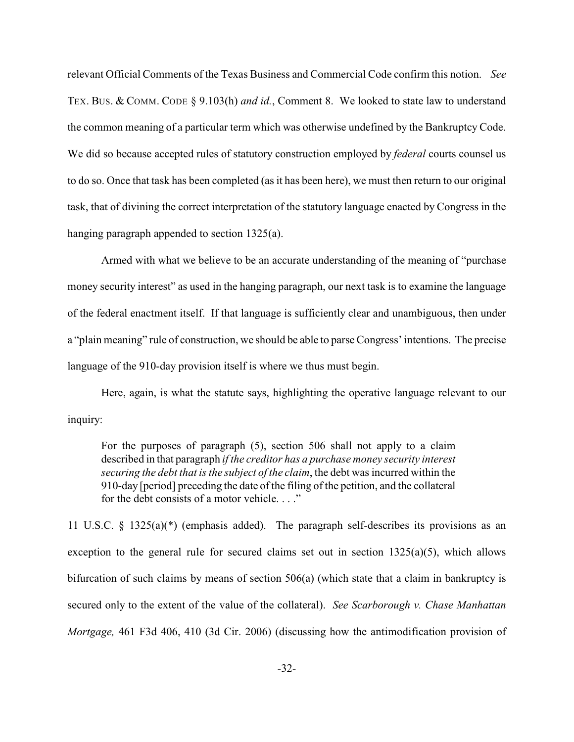relevant Official Comments of the Texas Business and Commercial Code confirm this notion. *See* TEX. BUS. & COMM. CODE § 9.103(h) *and id.*, Comment 8. We looked to state law to understand the common meaning of a particular term which was otherwise undefined by the Bankruptcy Code. We did so because accepted rules of statutory construction employed by *federal* courts counsel us to do so. Once that task has been completed (as it has been here), we must then return to our original task, that of divining the correct interpretation of the statutory language enacted by Congress in the hanging paragraph appended to section 1325(a).

Armed with what we believe to be an accurate understanding of the meaning of "purchase money security interest" as used in the hanging paragraph, our next task is to examine the language of the federal enactment itself. If that language is sufficiently clear and unambiguous, then under a "plain meaning" rule of construction, we should be able to parse Congress' intentions. The precise language of the 910-day provision itself is where we thus must begin.

Here, again, is what the statute says, highlighting the operative language relevant to our inquiry:

For the purposes of paragraph (5), section 506 shall not apply to a claim described in that paragraph *if the creditor has a purchase money security interest securing the debt that is the subject of the claim*, the debt was incurred within the 910-day [period] preceding the date of the filing of the petition, and the collateral for the debt consists of a motor vehicle. . . ."

11 U.S.C. § 1325(a)(\*) (emphasis added). The paragraph self-describes its provisions as an exception to the general rule for secured claims set out in section  $1325(a)(5)$ , which allows bifurcation of such claims by means of section 506(a) (which state that a claim in bankruptcy is secured only to the extent of the value of the collateral). *See Scarborough v. Chase Manhattan Mortgage,* 461 F3d 406, 410 (3d Cir. 2006) (discussing how the antimodification provision of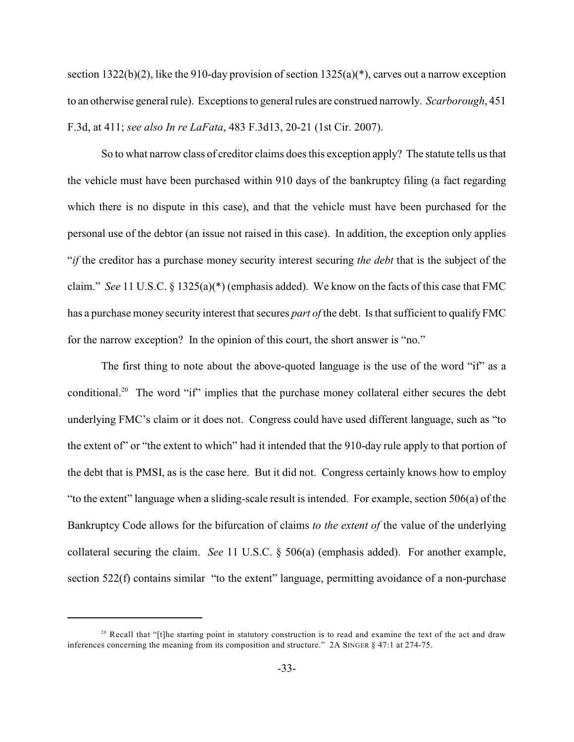section  $1322(b)(2)$ , like the 910-day provision of section  $1325(a)(*)$ , carves out a narrow exception to an otherwise general rule). Exceptions to general rules are construed narrowly. *Scarborough*, 451 F.3d, at 411; *see also In re LaFata*, 483 F.3d13, 20-21 (1st Cir. 2007).

So to what narrow class of creditor claims does this exception apply? The statute tells us that the vehicle must have been purchased within 910 days of the bankruptcy filing (a fact regarding which there is no dispute in this case), and that the vehicle must have been purchased for the personal use of the debtor (an issue not raised in this case). In addition, the exception only applies "*if* the creditor has a purchase money security interest securing *the debt* that is the subject of the claim." *See* 11 U.S.C. § 1325(a)(\*) (emphasis added). We know on the facts of this case that FMC has a purchase money security interest that secures *part of* the debt. Is that sufficient to qualify FMC for the narrow exception? In the opinion of this court, the short answer is "no."

The first thing to note about the above-quoted language is the use of the word "if" as a conditional.<sup>20</sup> The word "if" implies that the purchase money collateral either secures the debt underlying FMC's claim or it does not. Congress could have used different language, such as "to the extent of" or "the extent to which" had it intended that the 910-day rule apply to that portion of the debt that is PMSI, as is the case here. But it did not. Congress certainly knows how to employ "to the extent" language when a sliding-scale result is intended. For example, section 506(a) of the Bankruptcy Code allows for the bifurcation of claims *to the extent of* the value of the underlying collateral securing the claim. *See* 11 U.S.C. § 506(a) (emphasis added). For another example, section 522(f) contains similar "to the extent" language, permitting avoidance of a non-purchase

 $20$  Recall that "[t]he starting point in statutory construction is to read and examine the text of the act and draw inferences concerning the meaning from its composition and structure." 2A SINGER § 47:1 at 274-75.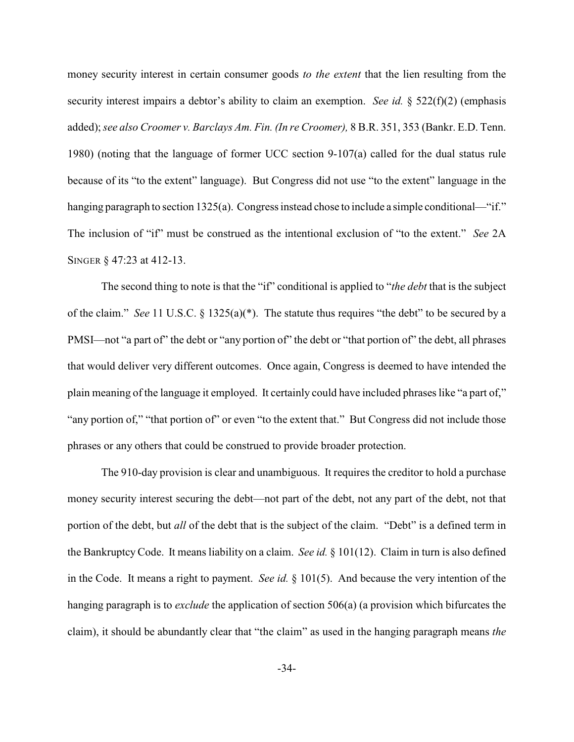money security interest in certain consumer goods *to the extent* that the lien resulting from the security interest impairs a debtor's ability to claim an exemption. *See id.* § 522(f)(2) (emphasis added); *see also Croomer v. Barclays Am. Fin. (In re Croomer),* 8 B.R. 351, 353 (Bankr. E.D. Tenn. 1980) (noting that the language of former UCC section 9-107(a) called for the dual status rule because of its "to the extent" language). But Congress did not use "to the extent" language in the hanging paragraph to section 1325(a). Congress instead chose to include a simple conditional—"if." The inclusion of "if" must be construed as the intentional exclusion of "to the extent." *See* 2A SINGER § 47:23 at 412-13.

The second thing to note is that the "if" conditional is applied to "*the debt* that is the subject of the claim." *See* 11 U.S.C. § 1325(a)(\*). The statute thus requires "the debt" to be secured by a PMSI—not "a part of" the debt or "any portion of" the debt or "that portion of" the debt, all phrases that would deliver very different outcomes. Once again, Congress is deemed to have intended the plain meaning of the language it employed. It certainly could have included phrases like "a part of," "any portion of," "that portion of" or even "to the extent that." But Congress did not include those phrases or any others that could be construed to provide broader protection.

The 910-day provision is clear and unambiguous. It requires the creditor to hold a purchase money security interest securing the debt—not part of the debt, not any part of the debt, not that portion of the debt, but *all* of the debt that is the subject of the claim. "Debt" is a defined term in the Bankruptcy Code. It means liability on a claim. *See id.* § 101(12). Claim in turn is also defined in the Code. It means a right to payment. *See id.* § 101(5). And because the very intention of the hanging paragraph is to *exclude* the application of section 506(a) (a provision which bifurcates the claim), it should be abundantly clear that "the claim" as used in the hanging paragraph means *the*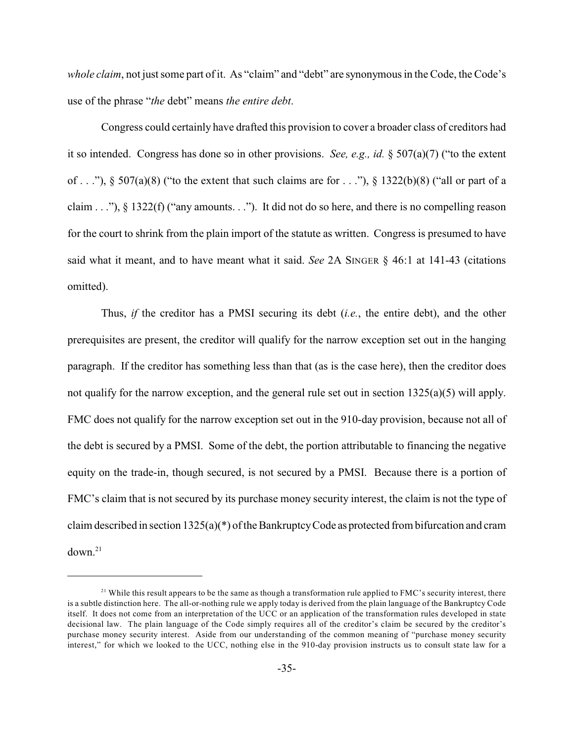*whole claim*, not just some part of it. As "claim" and "debt" are synonymous in the Code, the Code's use of the phrase "*the* debt" means *the entire debt*.

Congress could certainly have drafted this provision to cover a broader class of creditors had it so intended. Congress has done so in other provisions. *See, e.g., id.* § 507(a)(7) ("to the extent of . . ."),  $\S$  507(a)(8) ("to the extent that such claims are for . . ."),  $\S$  1322(b)(8) ("all or part of a claim . . ."),  $\S$  1322(f) ("any amounts. . ."). It did not do so here, and there is no compelling reason for the court to shrink from the plain import of the statute as written. Congress is presumed to have said what it meant, and to have meant what it said. *See* 2A SINGER § 46:1 at 141-43 (citations omitted).

Thus, *if* the creditor has a PMSI securing its debt (*i.e.*, the entire debt), and the other prerequisites are present, the creditor will qualify for the narrow exception set out in the hanging paragraph. If the creditor has something less than that (as is the case here), then the creditor does not qualify for the narrow exception, and the general rule set out in section  $1325(a)(5)$  will apply. FMC does not qualify for the narrow exception set out in the 910-day provision, because not all of the debt is secured by a PMSI. Some of the debt, the portion attributable to financing the negative equity on the trade-in, though secured, is not secured by a PMSI. Because there is a portion of FMC's claim that is not secured by its purchase money security interest, the claim is not the type of claim described in section 1325(a)(\*) of the Bankruptcy Code as protected from bifurcation and cram  $down<sup>21</sup>$ 

 $2<sup>1</sup>$  While this result appears to be the same as though a transformation rule applied to FMC's security interest, there is a subtle distinction here. The all-or-nothing rule we apply today is derived from the plain language of the Bankruptcy Code itself. It does not come from an interpretation of the UCC or an application of the transformation rules developed in state decisional law. The plain language of the Code simply requires all of the creditor's claim be secured by the creditor's purchase money security interest. Aside from our understanding of the common meaning of "purchase money security interest," for which we looked to the UCC, nothing else in the 910-day provision instructs us to consult state law for a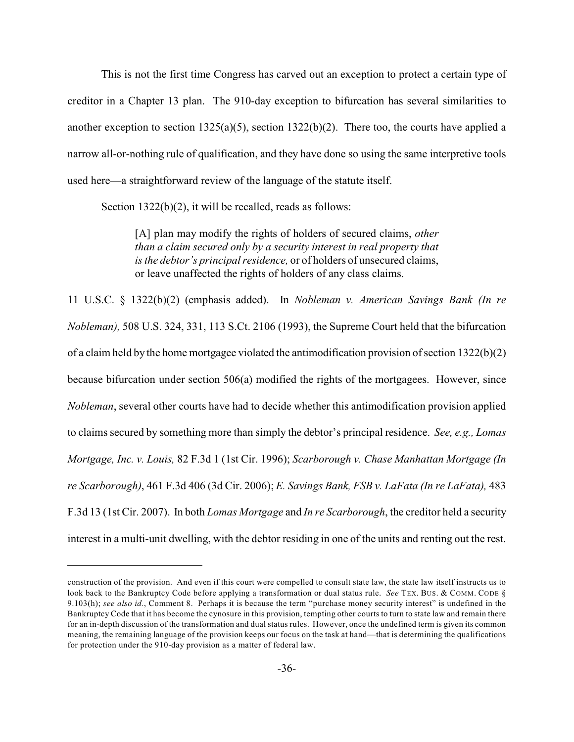This is not the first time Congress has carved out an exception to protect a certain type of creditor in a Chapter 13 plan. The 910-day exception to bifurcation has several similarities to another exception to section 1325(a)(5), section 1322(b)(2). There too, the courts have applied a narrow all-or-nothing rule of qualification, and they have done so using the same interpretive tools used here—a straightforward review of the language of the statute itself.

Section 1322(b)(2), it will be recalled, reads as follows:

[A] plan may modify the rights of holders of secured claims, *other than a claim secured only by a security interest in real property that is the debtor's principal residence,* or of holders of unsecured claims, or leave unaffected the rights of holders of any class claims.

11 U.S.C. § 1322(b)(2) (emphasis added). In *Nobleman v. American Savings Bank (In re Nobleman),* 508 U.S. 324, 331, 113 S.Ct. 2106 (1993), the Supreme Court held that the bifurcation of a claim held by the home mortgagee violated the antimodification provision of section  $1322(b)(2)$ because bifurcation under section 506(a) modified the rights of the mortgagees. However, since *Nobleman*, several other courts have had to decide whether this antimodification provision applied to claims secured by something more than simply the debtor's principal residence. *See, e.g., Lomas Mortgage, Inc. v. Louis,* 82 F.3d 1 (1st Cir. 1996); *Scarborough v. Chase Manhattan Mortgage (In re Scarborough)*, 461 F.3d 406 (3d Cir. 2006); *E. Savings Bank, FSB v. LaFata (In re LaFata),* 483 F.3d 13 (1st Cir. 2007). In both *Lomas Mortgage* and *In re Scarborough*, the creditor held a security interest in a multi-unit dwelling, with the debtor residing in one of the units and renting out the rest.

construction of the provision. And even if this court were compelled to consult state law, the state law itself instructs us to look back to the Bankruptcy Code before applying a transformation or dual status rule. *See* TEX. BUS. & COMM. CODE § 9.103(h); *see also id.*, Comment 8. Perhaps it is because the term "purchase money security interest" is undefined in the Bankruptcy Code that it has become the cynosure in this provision, tempting other courts to turn to state law and remain there for an in-depth discussion of the transformation and dual status rules. However, once the undefined term is given its common meaning, the remaining language of the provision keeps our focus on the task at hand—that is determining the qualifications for protection under the 910-day provision as a matter of federal law.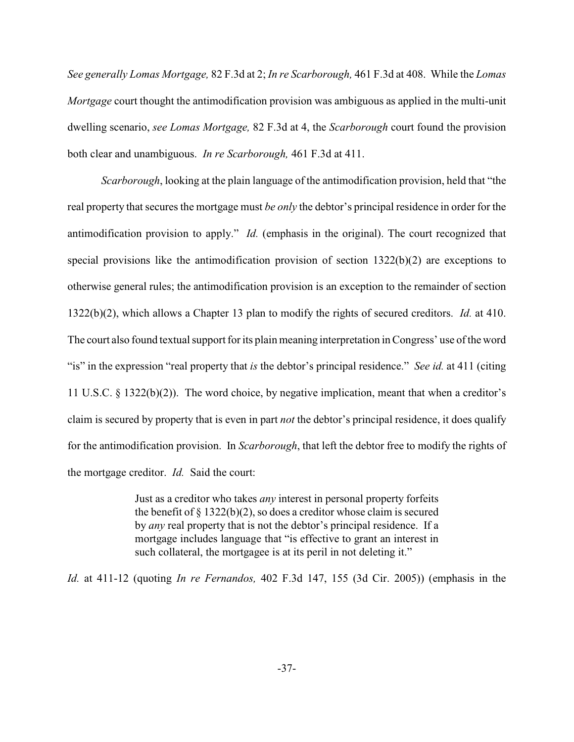*See generally Lomas Mortgage,* 82 F.3d at 2; *In re Scarborough,* 461 F.3d at 408. While the *Lomas Mortgage* court thought the antimodification provision was ambiguous as applied in the multi-unit dwelling scenario, *see Lomas Mortgage,* 82 F.3d at 4, the *Scarborough* court found the provision both clear and unambiguous. *In re Scarborough,* 461 F.3d at 411.

*Scarborough*, looking at the plain language of the antimodification provision, held that "the real property that secures the mortgage must *be only* the debtor's principal residence in order for the antimodification provision to apply." *Id.* (emphasis in the original). The court recognized that special provisions like the antimodification provision of section 1322(b)(2) are exceptions to otherwise general rules; the antimodification provision is an exception to the remainder of section 1322(b)(2), which allows a Chapter 13 plan to modify the rights of secured creditors. *Id.* at 410. The court also found textual support for its plain meaning interpretation in Congress' use of the word "is" in the expression "real property that *is* the debtor's principal residence." *See id.* at 411 (citing 11 U.S.C. § 1322(b)(2)). The word choice, by negative implication, meant that when a creditor's claim is secured by property that is even in part *not* the debtor's principal residence, it does qualify for the antimodification provision. In *Scarborough*, that left the debtor free to modify the rights of the mortgage creditor. *Id.* Said the court:

> Just as a creditor who takes *any* interest in personal property forfeits the benefit of  $\S 1322(b)(2)$ , so does a creditor whose claim is secured by *any* real property that is not the debtor's principal residence. If a mortgage includes language that "is effective to grant an interest in such collateral, the mortgagee is at its peril in not deleting it."

*Id.* at 411-12 (quoting *In re Fernandos,* 402 F.3d 147, 155 (3d Cir. 2005)) (emphasis in the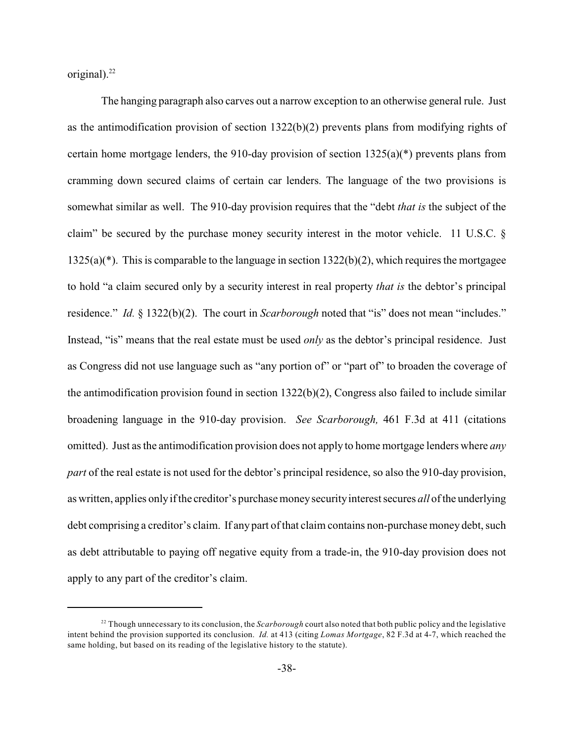original). $^{22}$ 

The hanging paragraph also carves out a narrow exception to an otherwise general rule. Just as the antimodification provision of section 1322(b)(2) prevents plans from modifying rights of certain home mortgage lenders, the 910-day provision of section  $1325(a)(*)$  prevents plans from cramming down secured claims of certain car lenders. The language of the two provisions is somewhat similar as well. The 910-day provision requires that the "debt *that is* the subject of the claim" be secured by the purchase money security interest in the motor vehicle. 11 U.S.C. § 1325(a)(\*). This is comparable to the language in section 1322(b)(2), which requires the mortgagee to hold "a claim secured only by a security interest in real property *that is* the debtor's principal residence." *Id.* § 1322(b)(2). The court in *Scarborough* noted that "is" does not mean "includes." Instead, "is" means that the real estate must be used *only* as the debtor's principal residence. Just as Congress did not use language such as "any portion of" or "part of" to broaden the coverage of the antimodification provision found in section  $1322(b)(2)$ , Congress also failed to include similar broadening language in the 910-day provision. *See Scarborough,* 461 F.3d at 411 (citations omitted). Just as the antimodification provision does not apply to home mortgage lenders where *any part* of the real estate is not used for the debtor's principal residence, so also the 910-day provision, as written, applies only if the creditor's purchase money security interest secures *all* of the underlying debt comprising a creditor's claim. If any part of that claim contains non-purchase money debt, such as debt attributable to paying off negative equity from a trade-in, the 910-day provision does not apply to any part of the creditor's claim.

 $^{22}$  Though unnecessary to its conclusion, the *Scarborough* court also noted that both public policy and the legislative intent behind the provision supported its conclusion. *Id.* at 413 (citing *Lomas Mortgage*, 82 F.3d at 4-7, which reached the same holding, but based on its reading of the legislative history to the statute).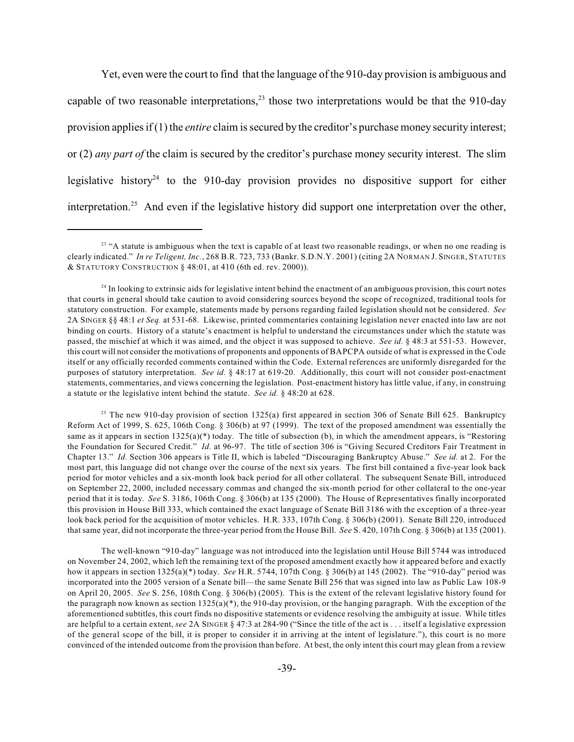Yet, even were the court to find that the language of the 910-day provision is ambiguous and capable of two reasonable interpretations,  $23$  those two interpretations would be that the 910-day provision applies if (1) the *entire* claim is secured by the creditor's purchase money security interest; or (2) *any part of* the claim is secured by the creditor's purchase money security interest. The slim legislative history<sup>24</sup> to the 910-day provision provides no dispositive support for either interpretation.<sup>25</sup> And even if the legislative history did support one interpretation over the other,

<sup>25</sup> The new 910-day provision of section 1325(a) first appeared in section 306 of Senate Bill 625. Bankruptcy Reform Act of 1999, S. 625, 106th Cong. § 306(b) at 97 (1999). The text of the proposed amendment was essentially the same as it appears in section  $1325(a)^{*}$ ) today. The title of subsection (b), in which the amendment appears, is "Restoring the Foundation for Secured Credit." *Id.* at 96-97. The title of section 306 is "Giving Secured Creditors Fair Treatment in Chapter 13." *Id.* Section 306 appears is Title II, which is labeled "Discouraging Bankruptcy Abuse." *See id.* at 2. For the most part, this language did not change over the course of the next six years. The first bill contained a five-year look back period for motor vehicles and a six-month look back period for all other collateral. The subsequent Senate Bill, introduced on September 22, 2000, included necessary commas and changed the six-month period for other collateral to the one-year period that it is today. *See* S. 3186, 106th Cong. § 306(b) at 135 (2000). The House of Representatives finally incorporated this provision in House Bill 333, which contained the exact language of Senate Bill 3186 with the exception of a three-year look back period for the acquisition of motor vehicles. H.R. 333, 107th Cong. § 306(b) (2001). Senate Bill 220, introduced that same year, did not incorporate the three-year period from the House Bill. *See* S. 420, 107th Cong. § 306(b) at 135 (2001).

The well-known "910-day" language was not introduced into the legislation until House Bill 5744 was introduced on November 24, 2002, which left the remaining text of the proposed amendment exactly how it appeared before and exactly how it appears in section 1325(a)(\*) today. *See* H.R. 5744, 107th Cong. § 306(b) at 145 (2002). The "910-day" period was incorporated into the 2005 version of a Senate bill—the same Senate Bill 256 that was signed into law as Public Law 108-9 on April 20, 2005. *See* S. 256, 108th Cong. § 306(b) (2005). This is the extent of the relevant legislative history found for the paragraph now known as section  $1325(a)$ <sup>(\*)</sup>, the 910-day provision, or the hanging paragraph. With the exception of the aforementioned subtitles, this court finds no dispositive statements or evidence resolving the ambiguity at issue. While titles are helpful to a certain extent, *see* 2A SINGER § 47:3 at 284-90 ("Since the title of the act is . . . itself a legislative expression of the general scope of the bill, it is proper to consider it in arriving at the intent of legislature."), this court is no more convinced of the intended outcome from the provision than before. At best, the only intent this court may glean from a review

 $23$  "A statute is ambiguous when the text is capable of at least two reasonable readings, or when no one reading is clearly indicated." *In re Teligent, Inc.*, 268 B.R. 723, 733 (Bankr. S.D.N.Y. 2001) (citing 2A NORMAN J. SINGER, STATUTES & STATUTORY CONSTRUCTION § 48:01, at 410 (6th ed. rev. 2000)).

 $24$  In looking to extrinsic aids for legislative intent behind the enactment of an ambiguous provision, this court notes that courts in general should take caution to avoid considering sources beyond the scope of recognized, traditional tools for statutory construction. For example, statements made by persons regarding failed legislation should not be considered. *See* 2A SINGER §§ 48:1 *et Seq.* at 531-68. Likewise, printed commentaries containing legislation never enacted into law are not binding on courts. History of a statute's enactment is helpful to understand the circumstances under which the statute was passed, the mischief at which it was aimed, and the object it was supposed to achieve. *See id.* § 48:3 at 551-53. However, this court will not consider the motivations of proponents and opponents of BAPCPA outside of what is expressed in the Code itself or any officially recorded comments contained within the Code. External references are uniformly disregarded for the purposes of statutory interpretation. *See id.* § 48:17 at 619-20. Additionally, this court will not consider post-enactment statements, commentaries, and views concerning the legislation. Post-enactment history has little value, if any, in construing a statute or the legislative intent behind the statute. *See id.* § 48:20 at 628.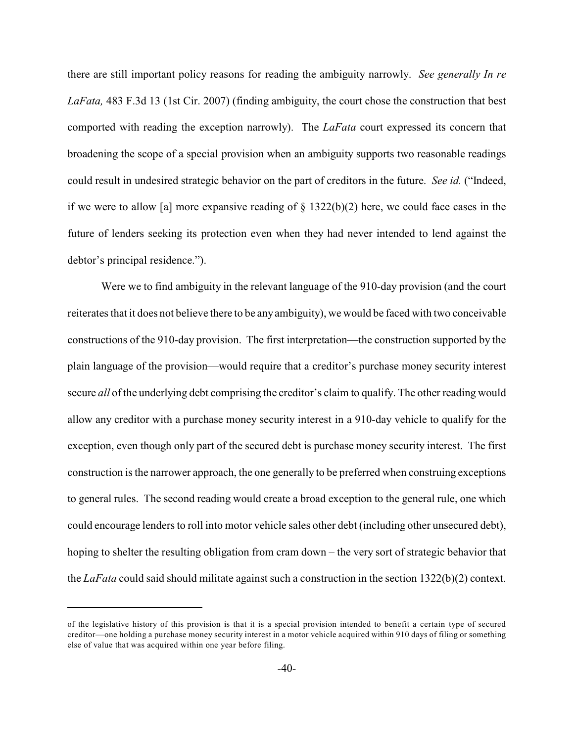there are still important policy reasons for reading the ambiguity narrowly. *See generally In re LaFata,* 483 F.3d 13 (1st Cir. 2007) (finding ambiguity, the court chose the construction that best comported with reading the exception narrowly). The *LaFata* court expressed its concern that broadening the scope of a special provision when an ambiguity supports two reasonable readings could result in undesired strategic behavior on the part of creditors in the future. *See id.* ("Indeed, if we were to allow [a] more expansive reading of  $\S$  1322(b)(2) here, we could face cases in the future of lenders seeking its protection even when they had never intended to lend against the debtor's principal residence.").

Were we to find ambiguity in the relevant language of the 910-day provision (and the court reiterates that it does not believe there to be any ambiguity), we would be faced with two conceivable constructions of the 910-day provision. The first interpretation—the construction supported by the plain language of the provision—would require that a creditor's purchase money security interest secure *all* of the underlying debt comprising the creditor's claim to qualify. The other reading would allow any creditor with a purchase money security interest in a 910-day vehicle to qualify for the exception, even though only part of the secured debt is purchase money security interest. The first construction is the narrower approach, the one generally to be preferred when construing exceptions to general rules. The second reading would create a broad exception to the general rule, one which could encourage lenders to roll into motor vehicle sales other debt (including other unsecured debt), hoping to shelter the resulting obligation from cram down – the very sort of strategic behavior that the *LaFata* could said should militate against such a construction in the section 1322(b)(2) context.

of the legislative history of this provision is that it is a special provision intended to benefit a certain type of secured creditor—one holding a purchase money security interest in a motor vehicle acquired within 910 days of filing or something else of value that was acquired within one year before filing.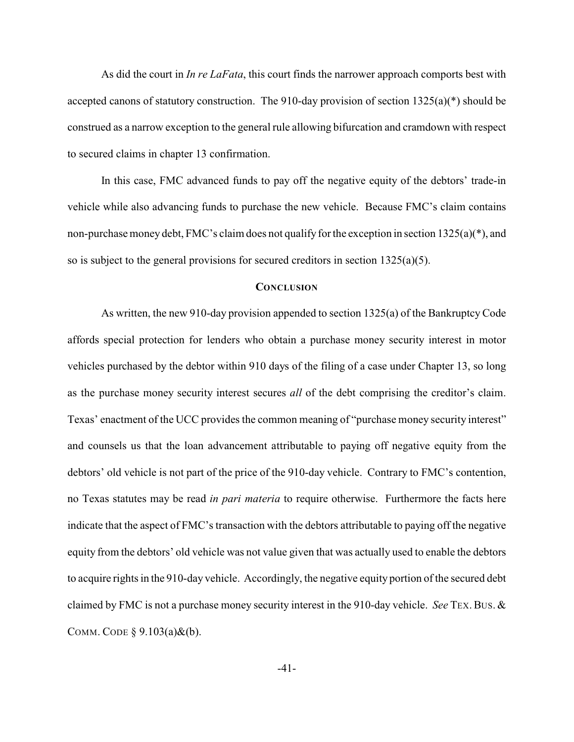As did the court in *In re LaFata*, this court finds the narrower approach comports best with accepted canons of statutory construction. The 910-day provision of section 1325(a)(\*) should be construed as a narrow exception to the general rule allowing bifurcation and cramdown with respect to secured claims in chapter 13 confirmation.

In this case, FMC advanced funds to pay off the negative equity of the debtors' trade-in vehicle while also advancing funds to purchase the new vehicle. Because FMC's claim contains non-purchase money debt, FMC's claim does not qualify for the exception in section 1325(a)(\*), and so is subject to the general provisions for secured creditors in section 1325(a)(5).

#### **CONCLUSION**

As written, the new 910-day provision appended to section 1325(a) of the Bankruptcy Code affords special protection for lenders who obtain a purchase money security interest in motor vehicles purchased by the debtor within 910 days of the filing of a case under Chapter 13, so long as the purchase money security interest secures *all* of the debt comprising the creditor's claim. Texas' enactment of the UCC provides the common meaning of "purchase money security interest" and counsels us that the loan advancement attributable to paying off negative equity from the debtors' old vehicle is not part of the price of the 910-day vehicle. Contrary to FMC's contention, no Texas statutes may be read *in pari materia* to require otherwise. Furthermore the facts here indicate that the aspect of FMC's transaction with the debtors attributable to paying off the negative equity from the debtors' old vehicle was not value given that was actually used to enable the debtors to acquire rights in the 910-day vehicle. Accordingly, the negative equity portion of the secured debt claimed by FMC is not a purchase money security interest in the 910-day vehicle. *See* TEX.BUS. & COMM. CODE  $\S$  9.103(a)&(b).